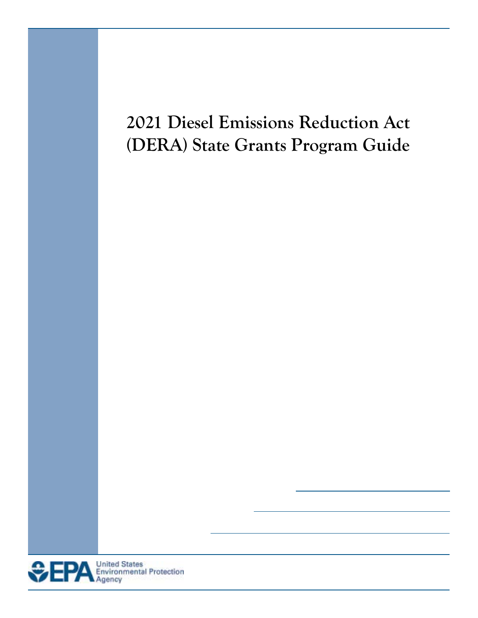# **2021 Diesel Emissions Reduction Act (DERA) State Grants Program Guide**

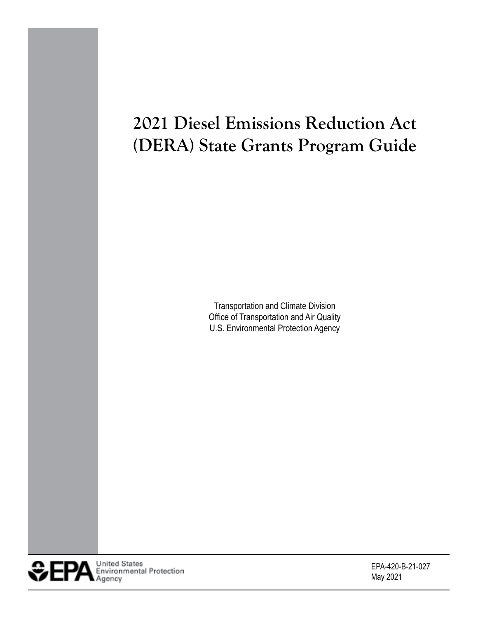# **2021 Diesel Emissions Reduction Act (DERA) State Grants Program Guide**

Transportation and Climate Division Office of Transportation and Air Quality U.S. Environmental Protection Agency



EPA-420-B-21-027 May 2021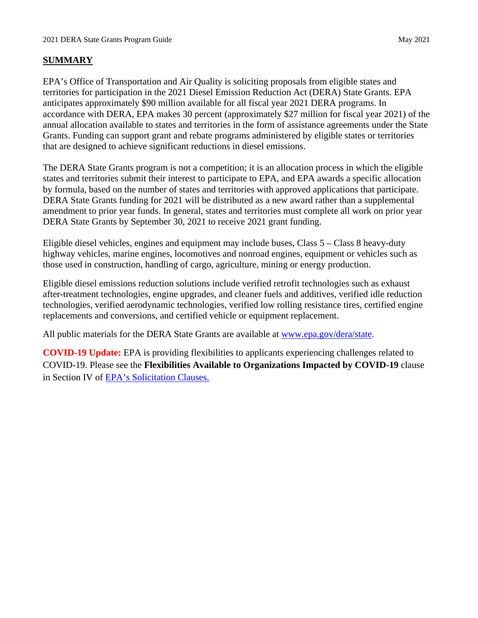## **SUMMARY**

 anticipates approximately \$90 million available for all fiscal year 2021 DERA programs. In accordance with DERA, EPA makes 30 percent (approximately \$27 million for fiscal year 2021) of the Grants. Funding can support grant and rebate programs administered by eligible states or territories EPA's Office of Transportation and Air Quality is soliciting proposals from eligible states and territories for participation in the 2021 Diesel Emission Reduction Act (DERA) State Grants. EPA annual allocation available to states and territories in the form of assistance agreements under the State that are designed to achieve significant reductions in diesel emissions.

 The DERA State Grants program is not a competition; it is an allocation process in which the eligible states and territories submit their interest to participate to EPA, and EPA awards a specific allocation DERA State Grants funding for 2021 will be distributed as a new award rather than a supplemental amendment to prior year funds. In general, states and territories must complete all work on prior year DERA State Grants by September 30, 2021 to receive 2021 grant funding. by formula, based on the number of states and territories with approved applications that participate.

Eligible diesel vehicles, engines and equipment may include buses, Class 5 – Class 8 heavy-duty highway vehicles, marine engines, locomotives and nonroad engines, equipment or vehicles such as those used in construction, handling of cargo, agriculture, mining or energy production.

 replacements and conversions, and certified vehicle or equipment replacement. Eligible diesel emissions reduction solutions include verified retrofit technologies such as exhaust after-treatment technologies, engine upgrades, and cleaner fuels and additives, verified idle reduction technologies, verified aerodynamic technologies, verified low rolling resistance tires, certified engine

All public materials for the DERA State Grants are available at [www.epa.gov/dera/state.](http://www.epa.gov/dera/state)

**COVID-19 Update:** EPA is providing flexibilities to applicants experiencing challenges related to COVID-19. Please see the **Flexibilities Available to Organizations Impacted by COVID-19** clause in Section IV of [EPA's Solicitation Clauses.](https://www.epa.gov/grants/epa-solicitation-clauses)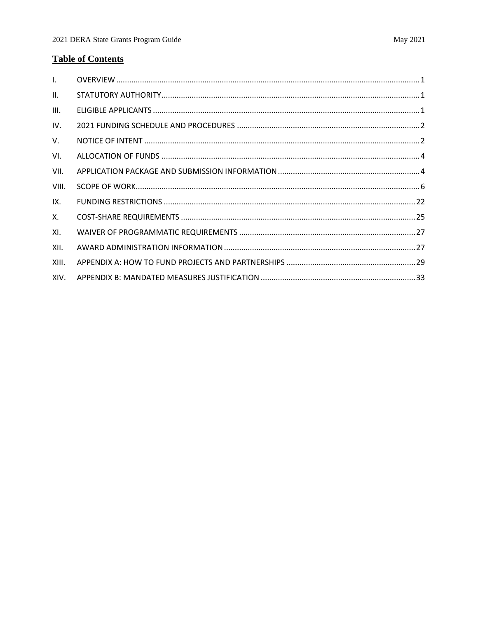# **Table of Contents**

| $\mathbf{L}$    |  |
|-----------------|--|
| $\mathbf{II}$ . |  |
| III.            |  |
| IV.             |  |
| V.              |  |
| VI.             |  |
| VII.            |  |
| VIII.           |  |
| IX.             |  |
| Χ.              |  |
|                 |  |
| XI.             |  |
| XII.            |  |
| XIII.           |  |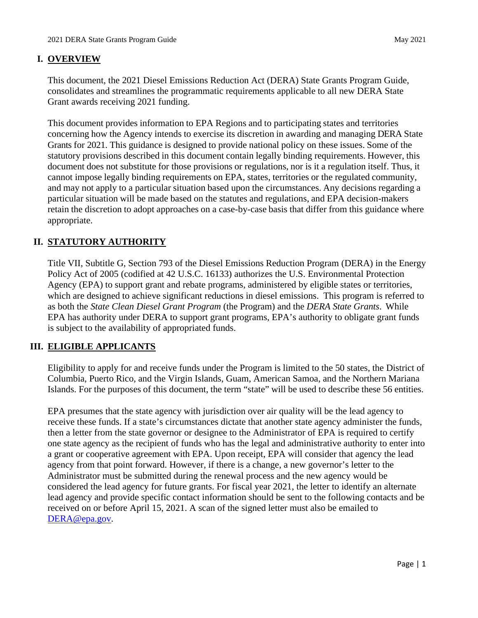# **I. OVERVIEW**

 This document, the 2021 Diesel Emissions Reduction Act (DERA) State Grants Program Guide, Grant awards receiving 2021 funding. consolidates and streamlines the programmatic requirements applicable to all new DERA State

 This document provides information to EPA Regions and to participating states and territories concerning how the Agency intends to exercise its discretion in awarding and managing DERA State Grants for 2021. This guidance is designed to provide national policy on these issues. Some of the statutory provisions described in this document contain legally binding requirements. However, this document does not substitute for those provisions or regulations, nor is it a regulation itself. Thus, it cannot impose legally binding requirements on EPA, states, territories or the regulated community, and may not apply to a particular situation based upon the circumstances. Any decisions regarding a particular situation will be made based on the statutes and regulations, and EPA decision-makers retain the discretion to adopt approaches on a case-by-case basis that differ from this guidance where appropriate.

# **II. STATUTORY AUTHORITY**

 Agency (EPA) to support grant and rebate programs, administered by eligible states or territories, which are designed to achieve significant reductions in diesel emissions. This program is referred to as both the *State Clean Diesel Grant Program* (the Program) and the *DERA State Grants*. While Title VII, Subtitle G, Section 793 of the Diesel Emissions Reduction Program (DERA) in the Energy Policy Act of 2005 (codified at 42 U.S.C. 16133) authorizes the U.S. Environmental Protection EPA has authority under DERA to support grant programs, EPA's authority to obligate grant funds is subject to the availability of appropriated funds.

# **III. ELIGIBLE APPLICANTS**

 Eligibility to apply for and receive funds under the Program is limited to the 50 states, the District of Islands. For the purposes of this document, the term "state" will be used to describe these 56 entities. Columbia, Puerto Rico, and the Virgin Islands, Guam, American Samoa, and the Northern Mariana

 then a letter from the state governor or designee to the Administrator of EPA is required to certify one state agency as the recipient of funds who has the legal and administrative authority to enter into agency from that point forward. However, if there is a change, a new governor's letter to the Administrator must be submitted during the renewal process and the new agency would be lead agency and provide specific contact information should be sent to the following contacts and be received on or before April 15, 2021. A scan of the signed letter must also be emailed to EPA presumes that the state agency with jurisdiction over air quality will be the lead agency to receive these funds. If a state's circumstances dictate that another state agency administer the funds, a grant or cooperative agreement with EPA. Upon receipt, EPA will consider that agency the lead considered the lead agency for future grants. For fiscal year 2021, the letter to identify an alternate [DERA@epa.gov.](mailto:DERA@epa.gov)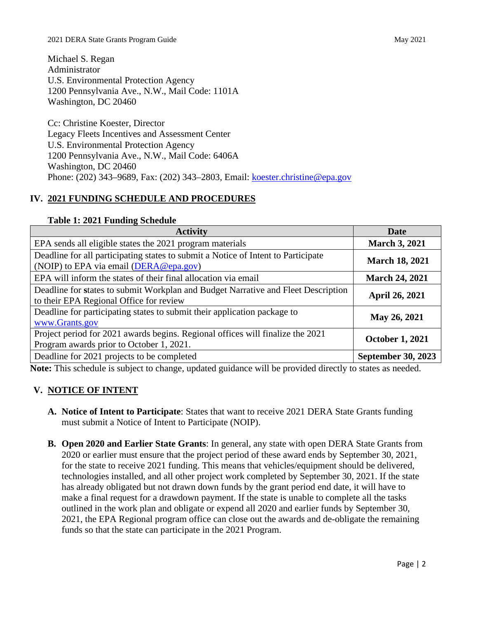Michael S. Regan Administrator U.S. Environmental Protection Agency 1200 Pennsylvania Ave., N.W., Mail Code: 1101A Washington, DC 20460

 Cc: Christine Koester, Director Washington, DC 20460 Legacy Fleets Incentives and Assessment Center U.S. Environmental Protection Agency 1200 Pennsylvania Ave., N.W., Mail Code: 6406A Phone: (202) 343–9689, Fax: (202) 343–2803, Email: [koester.christine@epa.gov](mailto:koester.christine@epa.gov) 

## **IV. 2021 FUNDING SCHEDULE AND PROCEDURES**

| <b>Activity</b>                                                                                                              | <b>Date</b>               |
|------------------------------------------------------------------------------------------------------------------------------|---------------------------|
| EPA sends all eligible states the 2021 program materials                                                                     | <b>March 3, 2021</b>      |
| Deadline for all participating states to submit a Notice of Intent to Participate<br>(NOIP) to EPA via email (DERA@epa.gov)  | <b>March 18, 2021</b>     |
| EPA will inform the states of their final allocation via email                                                               | <b>March 24, 2021</b>     |
| Deadline for states to submit Workplan and Budget Narrative and Fleet Description<br>to their EPA Regional Office for review | <b>April 26, 2021</b>     |
| Deadline for participating states to submit their application package to<br>www.Grants.gov                                   | May 26, 2021              |
| Project period for 2021 awards begins. Regional offices will finalize the 2021<br>Program awards prior to October 1, 2021.   | <b>October 1, 2021</b>    |
| Deadline for 2021 projects to be completed                                                                                   | <b>September 30, 2023</b> |

#### **Table 1: 2021 Funding Schedule**

**Note:** This schedule is subject to change, updated guidance will be provided directly to states as needed.

# **V. NOTICE OF INTENT**

- must submit a Notice of Intent to Participate (NOIP). **A. Notice of Intent to Participate**: States that want to receive 2021 DERA State Grants funding
- **B. Open 2020 and Earlier State Grants**: In general, any state with open DERA State Grants from for the state to receive 2021 funding. This means that vehicles/equipment should be delivered, technologies installed, and all other project work completed by September 30, 2021. If the state make a final request for a drawdown payment. If the state is unable to complete all the tasks 2021, the EPA Regional program office can close out the awards and de-obligate the remaining funds so that the state can participate in the 2021 Program. 2020 or earlier must ensure that the project period of these award ends by September 30, 2021, has already obligated but not drawn down funds by the grant period end date, it will have to outlined in the work plan and obligate or expend all 2020 and earlier funds by September 30,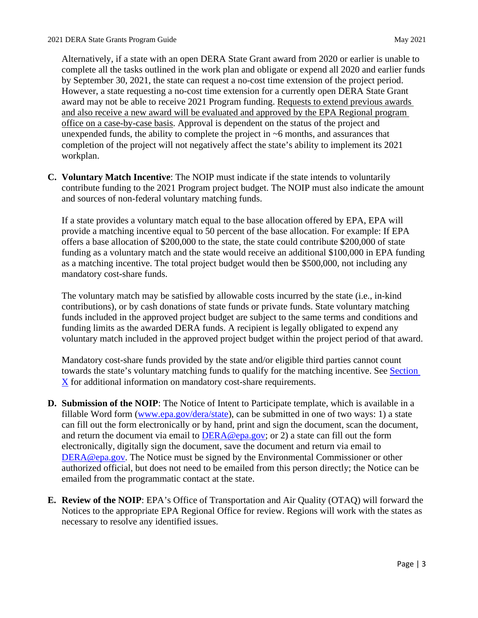complete all the tasks outlined in the work plan and obligate or expend all 2020 and earlier funds However, a state requesting a no-cost time extension for a currently open DERA State Grant award may not be able to receive 2021 Program funding. Requests to extend previous awards office on a case-by-case basis. Approval is dependent on the status of the project and unexpended funds, the ability to complete the project in ~6 months, and assurances that Alternatively, if a state with an open DERA State Grant award from 2020 or earlier is unable to by September 30, 2021, the state can request a no-cost time extension of the project period. and also receive a new award will be evaluated and approved by the EPA Regional program completion of the project will not negatively affect the state's ability to implement its 2021 workplan.

<span id="page-6-0"></span> **C. Voluntary Match Incentive**: The NOIP must indicate if the state intends to voluntarily contribute funding to the 2021 Program project budget. The NOIP must also indicate the amount and sources of non-federal voluntary matching funds.

 offers a base allocation of \$200,000 to the state, the state could contribute \$200,000 of state If a state provides a voluntary match equal to the base allocation offered by EPA, EPA will provide a matching incentive equal to 50 percent of the base allocation. For example: If EPA funding as a voluntary match and the state would receive an additional \$100,000 in EPA funding as a matching incentive. The total project budget would then be \$500,000, not including any mandatory cost-share funds.

 The voluntary match may be satisfied by allowable costs incurred by the state (i.e., in-kind funds included in the approved project budget are subject to the same terms and conditions and funding limits as the awarded DERA funds. A recipient is legally obligated to expend any contributions), or by cash donations of state funds or private funds. State voluntary matching voluntary match included in the approved project budget within the project period of that award.

 Mandatory cost-share funds provided by the state and/or eligible third parties cannot count towards the state's voluntary matching funds to qualify for the matching incentive. See [Section](#page-28-0)  [X](#page-28-0) for additional information on mandatory cost-share requirements.

- fillable Word form [\(www.epa.gov/dera/state\)](http://www.epa.gov/dera/state), can be submitted in one of two ways: 1) a state electronically, digitally sign the document, save the document and return via email to [DERA@epa.gov.](mailto:DERA@epa.gov) The Notice must be signed by the Environmental Commissioner or other authorized official, but does not need to be emailed from this person directly; the Notice can be **D. Submission of the NOIP**: The Notice of Intent to Participate template, which is available in a can fill out the form electronically or by hand, print and sign the document, scan the document, and return the document via email to  $DERA@epa.gov$ ; or 2) a state can fill out the form emailed from the programmatic contact at the state.
- **E. Review of the NOIP**: EPA's Office of Transportation and Air Quality (OTAQ) will forward the Notices to the appropriate EPA Regional Office for review. Regions will work with the states as necessary to resolve any identified issues.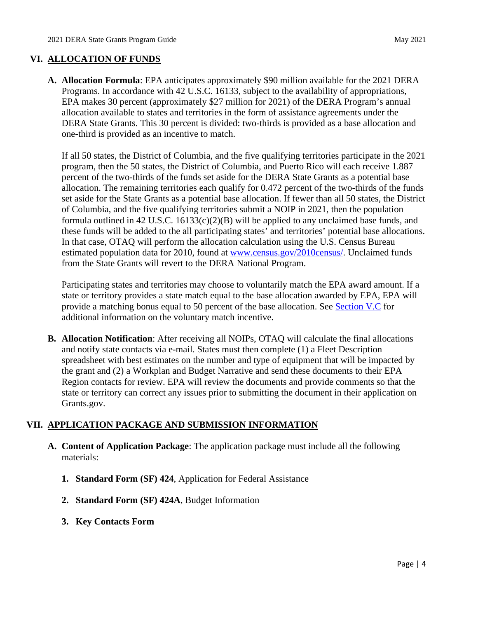## **VI. ALLOCATION OF FUNDS**

 **A. Allocation Formula**: EPA anticipates approximately \$90 million available for the 2021 DERA DERA State Grants. This 30 percent is divided: two-thirds is provided as a base allocation and one-third is provided as an incentive to match. Programs. In accordance with 42 U.S.C. 16133, subject to the availability of appropriations, EPA makes 30 percent (approximately \$27 million for 2021) of the DERA Program's annual allocation available to states and territories in the form of assistance agreements under the

 If all 50 states, the District of Columbia, and the five qualifying territories participate in the 2021 percent of the two-thirds of the funds set aside for the DERA State Grants as a potential base set aside for the State Grants as a potential base allocation. If fewer than all 50 states, the District these funds will be added to the all participating states' and territories' potential base allocations. from the State Grants will revert to the DERA National Program. program, then the 50 states, the District of Columbia, and Puerto Rico will each receive 1.887 allocation. The remaining territories each qualify for 0.472 percent of the two-thirds of the funds of Columbia, and the five qualifying territories submit a NOIP in 2021, then the population formula outlined in 42 U.S.C.  $16133(c)(2)(B)$  will be applied to any unclaimed base funds, and In that case, OTAQ will perform the allocation calculation using the U.S. Census Bureau estimated population data for 2010, found at [www.census.gov/2010census/.](http://www.census.gov/2010census/) Unclaimed funds

provide a matching bonus equal to 50 percent of the base allocation. See **Section V.C** for Participating states and territories may choose to voluntarily match the EPA award amount. If a state or territory provides a state match equal to the base allocation awarded by EPA, EPA will additional information on the voluntary match incentive.

 spreadsheet with best estimates on the number and type of equipment that will be impacted by the grant and (2) a Workplan and Budget Narrative and send these documents to their EPA Region contacts for review. EPA will review the documents and provide comments so that the state or territory can correct any issues prior to submitting the document in their application on **B. Allocation Notification**: After receiving all NOIPs, OTAQ will calculate the final allocations and notify state contacts via e-mail. States must then complete (1) a Fleet Description [Grants.gov](https://Grants.gov).

# **VII. APPLICATION PACKAGE AND SUBMISSION INFORMATION**

- **A. Content of Application Package**: The application package must include all the following materials:
	- **1. Standard Form (SF) 424**, Application for Federal Assistance
	- **2. Standard Form (SF) 424A**, Budget Information
	- **3. Key Contacts Form**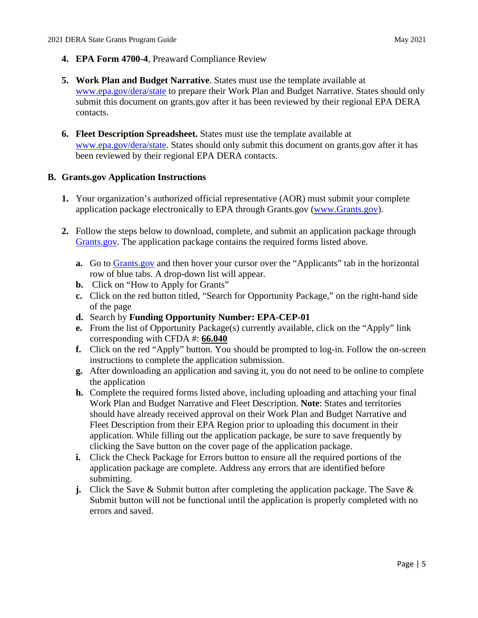- **4. EPA Form 4700-4**, Preaward Compliance Review
- submit this document on [grants.gov](https://grants.gov) after it has been reviewed by their regional EPA DERA **5. Work Plan and Budget Narrative**. States must use the template available at [www.epa.gov/dera/state](http://www.epa.gov/dera/state) to prepare their Work Plan and Budget Narrative. States should only contacts.
- **6. Fleet Description Spreadsheet.** States must use the template available at [www.epa.gov/dera/state.](http://www.epa.gov/cleandiesel/clean-diesel-state-allocations) States should only submit this document on [grants.gov](https://grants.gov) after it has been reviewed by their regional EPA DERA contacts.

# **B. [Grants.gov](https://Grants.gov) Application Instructions**

- application package electronically to EPA through [Grants.gov](https://Grants.gov) [\(www.Grants.gov\)](http://www.grants.gov/). **1.** Your organization's authorized official representative (AOR) must submit your complete
- **2.** Follow the steps below to download, complete, and submit an application package through [Grants.gov.](http://www.grants.gov/) The application package contains the required forms listed above.
	- **a.** Go to **Grants.gov** and then hover your cursor over the "Applicants" tab in the horizontal row of blue tabs. A drop-down list will appear.
	- **b.** Click on "How to Apply for Grants"
	- **c.** Click on the red button titled, "Search for Opportunity Package," on the right-hand side of the page
	- **d.** Search by **Funding Opportunity Number: EPA-CEP-01**
	- **e.** From the list of Opportunity Package(s) currently available, click on the "Apply" link corresponding with CFDA #: **66.040**
	- instructions to complete the application submission. **f.** Click on the red "Apply" button. You should be prompted to log-in. Follow the on-screen
	- **g.** After downloading an application and saving it, you do not need to be online to complete the application
	- Work Plan and Budget Narrative and Fleet Description. **Note**: States and territories Fleet Description from their EPA Region prior to uploading this document in their **h.** Complete the required forms listed above, including uploading and attaching your final should have already received approval on their Work Plan and Budget Narrative and application. While filling out the application package, be sure to save frequently by clicking the Save button on the cover page of the application package.
	- **i.** Click the Check Package for Errors button to ensure all the required portions of the application package are complete. Address any errors that are identified before submitting.
	- **j.** Click the Save & Submit button after completing the application package. The Save & Submit button will not be functional until the application is properly completed with no errors and saved.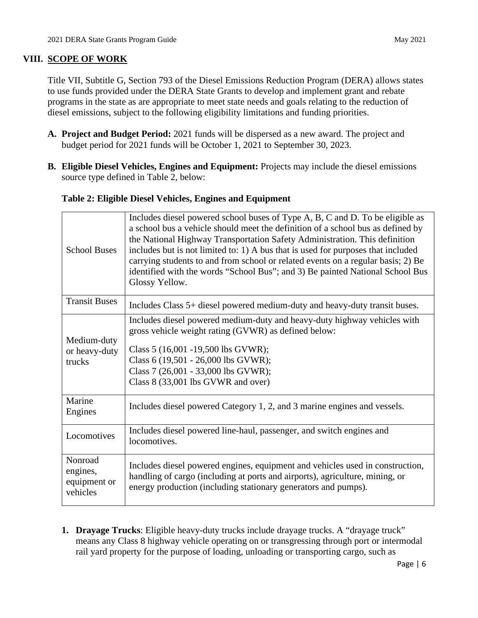## **VIII. SCOPE OF WORK**

<span id="page-9-0"></span> to use funds provided under the DERA State Grants to develop and implement grant and rebate Title VII, Subtitle G, Section 793 of the Diesel Emissions Reduction Program (DERA) allows states programs in the state as are appropriate to meet state needs and goals relating to the reduction of diesel emissions, subject to the following eligibility limitations and funding priorities.

- **A. Project and Budget Period:** 2021 funds will be dispersed as a new award. The project and budget period for 2021 funds will be October 1, 2021 to September 30, 2023.
- <span id="page-9-1"></span>**B. Eligible Diesel Vehicles, Engines and Equipment:** Projects may include the diesel emissions source type defined in Table 2, below:

## **Table 2: Eligible Diesel Vehicles, Engines and Equipment**

| <b>School Buses</b>                             | Includes diesel powered school buses of Type A, B, C and D. To be eligible as<br>a school bus a vehicle should meet the definition of a school bus as defined by<br>the National Highway Transportation Safety Administration. This definition<br>includes but is not limited to: 1) A bus that is used for purposes that included<br>carrying students to and from school or related events on a regular basis; 2) Be<br>identified with the words "School Bus"; and 3) Be painted National School Bus<br>Glossy Yellow. |
|-------------------------------------------------|---------------------------------------------------------------------------------------------------------------------------------------------------------------------------------------------------------------------------------------------------------------------------------------------------------------------------------------------------------------------------------------------------------------------------------------------------------------------------------------------------------------------------|
| <b>Transit Buses</b>                            | Includes Class 5+ diesel powered medium-duty and heavy-duty transit buses.                                                                                                                                                                                                                                                                                                                                                                                                                                                |
| Medium-duty<br>or heavy-duty<br>trucks          | Includes diesel powered medium-duty and heavy-duty highway vehicles with<br>gross vehicle weight rating (GVWR) as defined below:<br>Class 5 (16,001 -19,500 lbs GVWR);<br>Class 6 (19,501 - 26,000 lbs GVWR);<br>Class 7 (26,001 - 33,000 lbs GVWR);<br>Class 8 (33,001 lbs GVWR and over)                                                                                                                                                                                                                                |
| Marine<br>Engines                               | Includes diesel powered Category 1, 2, and 3 marine engines and vessels.                                                                                                                                                                                                                                                                                                                                                                                                                                                  |
| Locomotives                                     | Includes diesel powered line-haul, passenger, and switch engines and<br>locomotives.                                                                                                                                                                                                                                                                                                                                                                                                                                      |
| Nonroad<br>engines,<br>equipment or<br>vehicles | Includes diesel powered engines, equipment and vehicles used in construction,<br>handling of cargo (including at ports and airports), agriculture, mining, or<br>energy production (including stationary generators and pumps).                                                                                                                                                                                                                                                                                           |

 **1. Drayage Trucks**: Eligible heavy-duty trucks include drayage trucks. A "drayage truck" means any Class 8 highway vehicle operating on or transgressing through port or intermodal rail yard property for the purpose of loading, unloading or transporting cargo, such as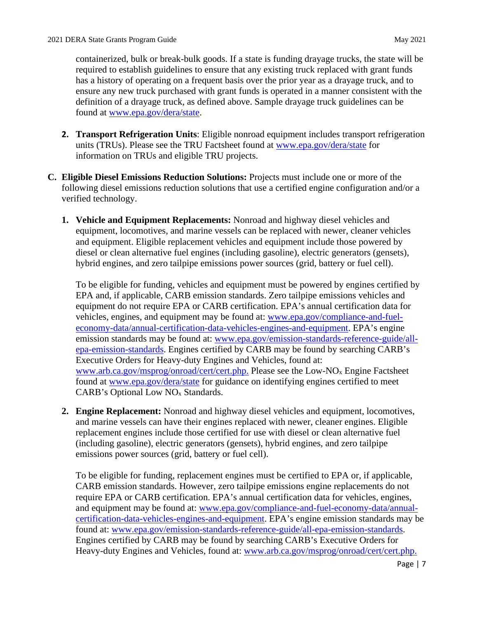containerized, bulk or break-bulk goods. If a state is funding drayage trucks, the state will be required to establish guidelines to ensure that any existing truck replaced with grant funds has a history of operating on a frequent basis over the prior year as a drayage truck, and to ensure any new truck purchased with grant funds is operated in a manner consistent with the definition of a drayage truck, as defined above. Sample drayage truck guidelines can be found at [www.epa.gov/dera/state.](http://www.epa.gov/dera/state)

- **2. Transport Refrigeration Units**: Eligible nonroad equipment includes transport refrigeration units (TRUs). Please see the TRU Factsheet found at [www.epa.gov/dera/state](http://www.epa.gov/dera/state) for information on TRUs and eligible TRU projects.
- following diesel emissions reduction solutions that use a certified engine configuration and/or a **C. Eligible Diesel Emissions Reduction Solutions:** Projects must include one or more of the verified technology.
	- hybrid engines, and zero tailpipe emissions power sources (grid, battery or fuel cell). **1. Vehicle and Equipment Replacements:** Nonroad and highway diesel vehicles and equipment, locomotives, and marine vessels can be replaced with newer, cleaner vehicles and equipment. Eligible replacement vehicles and equipment include those powered by diesel or clean alternative fuel engines (including gasoline), electric generators (gensets),

[www.arb.ca.gov/msprog/onroad/cert/cert.php.](http://www.arb.ca.gov/msprog/onroad/cert/cert.php) Please see the Low-NO<sub>x</sub> Engine Factsheet To be eligible for funding, vehicles and equipment must be powered by engines certified by EPA and, if applicable, CARB emission standards. Zero tailpipe emissions vehicles and equipment do not require EPA or CARB certification. EPA's annual certification data for vehicles, engines, and equipment may be found at: [www.epa.gov/compliance-and-fuel](https://www.epa.gov/compliance-and-fuel-economy-data/annual-certification-data-vehicles-engines-and-equipment)[economy-data/annual-certification-data-vehicles-engines-and-equipment.](https://www.epa.gov/compliance-and-fuel-economy-data/annual-certification-data-vehicles-engines-and-equipment) EPA's engine emission standards may be found at: [www.epa.gov/emission-standards-reference-guide/all](https://www.epa.gov/emission-standards-reference-guide/all-epa-emission-standards)[epa-emission-standards.](https://www.epa.gov/emission-standards-reference-guide/all-epa-emission-standards) Engines certified by CARB may be found by searching CARB's Executive Orders for Heavy-duty Engines and Vehicles, found at: found at [www.epa.gov/dera/state](http://www.epa.gov/dera/state) for guidance on identifying engines certified to meet CARB's Optional Low NOx Standards.

 replacement engines include those certified for use with diesel or clean alternative fuel **2. Engine Replacement:** Nonroad and highway diesel vehicles and equipment, locomotives, and marine vessels can have their engines replaced with newer, cleaner engines. Eligible (including gasoline), electric generators (gensets), hybrid engines, and zero tailpipe emissions power sources (grid, battery or fuel cell).

 To be eligible for funding, replacement engines must be certified to EPA or, if applicable, CARB emission standards. However, zero tailpipe emissions engine replacements do not require EPA or CARB certification. EPA's annual certification data for vehicles, engines, and equipment may be found at: [www.epa.gov/compliance-and-fuel-economy-data/annual](https://www.epa.gov/compliance-and-fuel-economy-data/annual-certification-data-vehicles-engines-and-equipment)[certification-data-vehicles-engines-and-equipment.](https://www.epa.gov/compliance-and-fuel-economy-data/annual-certification-data-vehicles-engines-and-equipment) EPA's engine emission standards may be found at: [www.epa.gov/emission-standards-reference-guide/all-epa-emission-standards.](https://www.epa.gov/emission-standards-reference-guide/all-epa-emission-standards) Engines certified by CARB may be found by searching CARB's Executive Orders for Heavy-duty Engines and Vehicles, found at: [www.arb.ca.gov/msprog/onroad/cert/cert.php.](http://www.arb.ca.gov/msprog/onroad/cert/cert.php)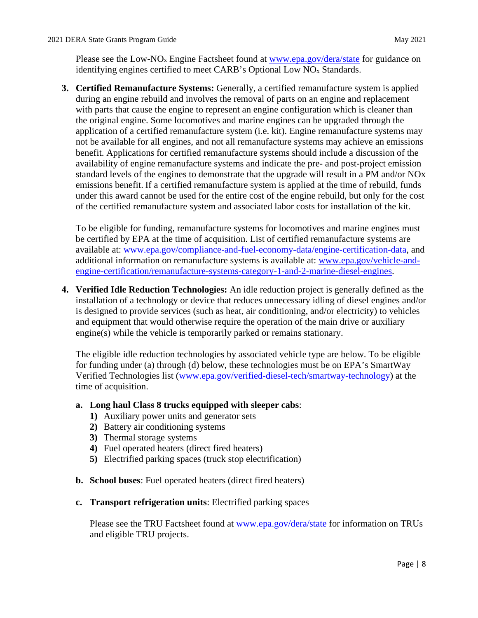Please see the Low-NO<sub>x</sub> Engine Factsheet found at [www.epa.gov/dera/state](http://www.epa.gov/dera/state) for guidance on identifying engines certified to meet CARB's Optional Low NOx Standards.

 availability of engine remanufacture systems and indicate the pre- and post-project emission under this award cannot be used for the entire cost of the engine rebuild, but only for the cost **3. Certified Remanufacture Systems:** Generally, a certified remanufacture system is applied during an engine rebuild and involves the removal of parts on an engine and replacement with parts that cause the engine to represent an engine configuration which is cleaner than the original engine. Some locomotives and marine engines can be upgraded through the application of a certified remanufacture system (i.e. kit). Engine remanufacture systems may not be available for all engines, and not all remanufacture systems may achieve an emissions benefit. Applications for certified remanufacture systems should include a discussion of the standard levels of the engines to demonstrate that the upgrade will result in a PM and/or NOx emissions benefit. If a certified remanufacture system is applied at the time of rebuild, funds of the certified remanufacture system and associated labor costs for installation of the kit.

 be certified by EPA at the time of acquisition. List of certified remanufacture systems are To be eligible for funding, remanufacture systems for locomotives and marine engines must available at: [www.epa.gov/compliance-and-fuel-economy-data/engine-certification-data,](http://www.epa.gov/compliance-and-fuel-economy-data/engine-certification-data) and additional information on remanufacture systems is available at: [www.epa.gov/vehicle-and](http://www.epa.gov/vehicle-and-engine-certification/remanufacture-systems-category-1-and-2-marine-diesel-engines)[engine-certification/remanufacture-systems-category-1-and-2-marine-diesel-engines.](http://www.epa.gov/vehicle-and-engine-certification/remanufacture-systems-category-1-and-2-marine-diesel-engines)

 **4. Verified Idle Reduction Technologies:** An idle reduction project is generally defined as the and equipment that would otherwise require the operation of the main drive or auxiliary installation of a technology or device that reduces unnecessary idling of diesel engines and/or is designed to provide services (such as heat, air conditioning, and/or electricity) to vehicles engine(s) while the vehicle is temporarily parked or remains stationary.

 The eligible idle reduction technologies by associated vehicle type are below. To be eligible for funding under (a) through (d) below, these technologies must be on EPA's SmartWay Verified Technologies list [\(www.epa.gov/verified-diesel-tech/smartway-technology\)](http://www.epa.gov/verified-diesel-tech/smartway-technology) at the time of acquisition.

## **a. Long haul Class 8 trucks equipped with sleeper cabs**:

- **1)** Auxiliary power units and generator sets
- **2)** Battery air conditioning systems
- **3)** Thermal storage systems
- **4)** Fuel operated heaters (direct fired heaters)
- **5)** Electrified parking spaces (truck stop electrification)
- **b. School buses**: Fuel operated heaters (direct fired heaters)
- **c. Transport refrigeration units**: Electrified parking spaces

Please see the TRU Factsheet found at **www.epa.gov/dera/state** for information on TRUs and eligible TRU projects.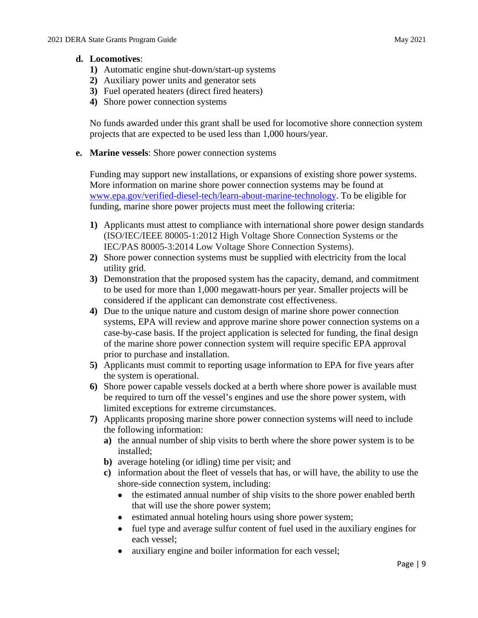## **d. Locomotives**:

- **1)** Automatic engine shut-down/start-up systems
- **2)** Auxiliary power units and generator sets
- **3)** Fuel operated heaters (direct fired heaters)
- **4)** Shore power connection systems

 No funds awarded under this grant shall be used for locomotive shore connection system projects that are expected to be used less than 1,000 hours/year.

**e. Marine vessels**: Shore power connection systems

Funding may support new installations, or expansions of existing shore power systems. More information on marine shore power connection systems may be found at [www.epa.gov/verified-diesel-tech/learn-about-marine-technology.](https://www.epa.gov/verified-diesel-tech/learn-about-marine-technology) To be eligible for funding, marine shore power projects must meet the following criteria:

- (ISO/IEC/IEEE 80005-1:2012 High Voltage Shore Connection Systems or the **1)** Applicants must attest to compliance with international shore power design standards IEC/PAS 80005-3:2014 Low Voltage Shore Connection Systems).
- **2)** Shore power connection systems must be supplied with electricity from the local utility grid.
- **3)** Demonstration that the proposed system has the capacity, demand, and commitment to be used for more than 1,000 megawatt-hours per year. Smaller projects will be considered if the applicant can demonstrate cost effectiveness.
- **4)** Due to the unique nature and custom design of marine shore power connection systems, EPA will review and approve marine shore power connection systems on a case-by-case basis. If the project application is selected for funding, the final design of the marine shore power connection system will require specific EPA approval prior to purchase and installation.
- **5)** Applicants must commit to reporting usage information to EPA for five years after the system is operational.
- **6)** Shore power capable vessels docked at a berth where shore power is available must be required to turn off the vessel's engines and use the shore power system, with limited exceptions for extreme circumstances.
- **7)** Applicants proposing marine shore power connection systems will need to include the following information:
	- **a)** the annual number of ship visits to berth where the shore power system is to be installed;
	- **b)** average hoteling (or idling) time per visit; and
	- **c)** information about the fleet of vessels that has, or will have, the ability to use the shore-side connection system, including:
		- the estimated annual number of ship visits to the shore power enabled berth that will use the shore power system;
		- estimated annual hoteling hours using shore power system;
		- • fuel type and average sulfur content of fuel used in the auxiliary engines for each vessel;
		- auxiliary engine and boiler information for each vessel;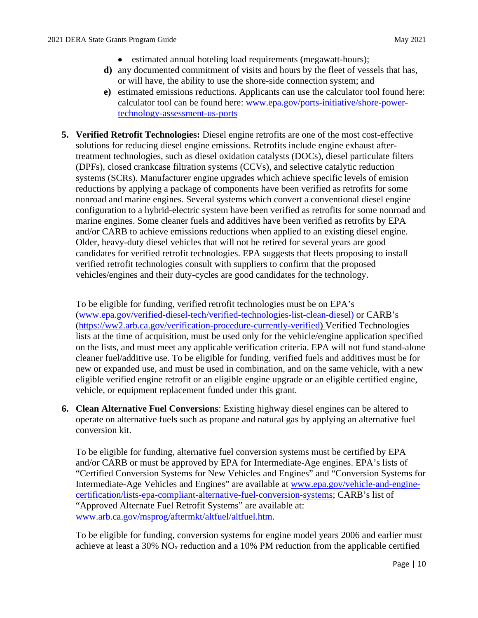- estimated annual hoteling load requirements (megawatt-hours);
- **d)** any documented commitment of visits and hours by the fleet of vessels that has, or will have, the ability to use the shore-side connection system; and
- **e)** estimated emissions reductions. Applicants can use the calculator tool found here: calculator tool can be found here: [www.epa.gov/ports-initiative/shore-power](http://www.epa.gov/ports-initiative/shore-power-technology-assessment-us-ports)[technology-assessment-us-ports](http://www.epa.gov/ports-initiative/shore-power-technology-assessment-us-ports)
- treatment technologies, such as diesel oxidation catalysts (DOCs), diesel particulate filters systems (SCRs). Manufacturer engine upgrades which achieve specific levels of emision reductions by applying a package of components have been verified as retrofits for some configuration to a hybrid-electric system have been verified as retrofits for some nonroad and candidates for verified retrofit technologies. EPA suggests that fleets proposing to install vehicles/engines and their duty-cycles are good candidates for the technology. **5. Verified Retrofit Technologies:** Diesel engine retrofits are one of the most cost-effective solutions for reducing diesel engine emissions. Retrofits include engine exhaust after-(DPFs), closed crankcase filtration systems (CCVs), and selective catalytic reduction nonroad and marine engines. Several systems which convert a conventional diesel engine marine engines. Some cleaner fuels and additives have been verified as retrofits by EPA and/or CARB to achieve emissions reductions when applied to an existing diesel engine. Older, heavy-duty diesel vehicles that will not be retired for several years are good verified retrofit technologies consult with suppliers to confirm that the proposed

 vehicle, or equipment replacement funded under this grant. To be eligible for funding, verified retrofit technologies must be on EPA's [\(www.epa.gov/verified-diesel-tech/verified-technologies-list-clean-diesel\)](http://www.epa.gov/verified-diesel-tech/verified-technologies-list-clean-diesel) or CARB's [\(https://ww2.arb.ca.gov/verification-procedure-currently-verified\)](https://gcc02.safelinks.protection.outlook.com/?url=https%3A%2F%2Fww2.arb.ca.gov%2Fverification-procedure-currently-verified&data=04%7C01%7CDietrich.Gwen%40epa.gov%7C9ed5c05b9dd44f3c5bcb08d8da7763aa%7C88b378b367484867acf976aacbeca6a7%7C0%7C0%7C637499553589097333%7CUnknown%7CTWFpbGZsb3d8eyJWIjoiMC4wLjAwMDAiLCJQIjoiV2luMzIiLCJBTiI6Ik1haWwiLCJXVCI6Mn0%3D%7C1000&sdata=ddn4wRSf4MX%2B8H8gMtMZYhfXq3ZC5T9TlSCVETxtmb0%3D&reserved=0) Verified Technologies lists at the time of acquisition, must be used only for the vehicle/engine application specified on the lists, and must meet any applicable verification criteria. EPA will not fund stand-alone cleaner fuel/additive use. To be eligible for funding, verified fuels and additives must be for new or expanded use, and must be used in combination, and on the same vehicle, with a new eligible verified engine retrofit or an eligible engine upgrade or an eligible certified engine,

 conversion kit. **6. Clean Alternative Fuel Conversions**: Existing highway diesel engines can be altered to operate on alternative fuels such as propane and natural gas by applying an alternative fuel

To be eligible for funding, alternative fuel conversion systems must be certified by EPA and/or CARB or must be approved by EPA for Intermediate-Age engines. EPA's lists of "Certified Conversion Systems for New Vehicles and Engines" and "Conversion Systems for Intermediate-Age Vehicles and Engines" are available at [www.epa.gov/vehicle-and-engine](http://www.epa.gov/vehicle-and-engine-certification/lists-epa-compliant-alternative-fuel-conversion-systems)[certification/lists-epa-compliant-alternative-fuel-conversion-systems;](http://www.epa.gov/vehicle-and-engine-certification/lists-epa-compliant-alternative-fuel-conversion-systems) CARB's list of "Approved Alternate Fuel Retrofit Systems" are available at: [www.arb.ca.gov/msprog/aftermkt/altfuel/altfuel.htm.](http://www.arb.ca.gov/msprog/aftermkt/altfuel/altfuel.htm)

 To be eligible for funding, conversion systems for engine model years 2006 and earlier must achieve at least a 30% NOx reduction and a 10% PM reduction from the applicable certified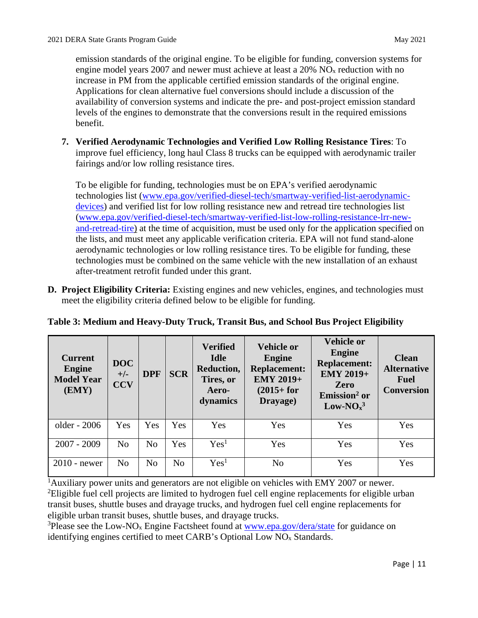emission standards of the original engine. To be eligible for funding, conversion systems for engine model years 2007 and newer must achieve at least a 20% NOx reduction with no increase in PM from the applicable certified emission standards of the original engine. Applications for clean alternative fuel conversions should include a discussion of the availability of conversion systems and indicate the pre- and post-project emission standard levels of the engines to demonstrate that the conversions result in the required emissions benefit.

 improve fuel efficiency, long haul Class 8 trucks can be equipped with aerodynamic trailer fairings and/or low rolling resistance tires. **7. Verified Aerodynamic Technologies and Verified Low Rolling Resistance Tires**: To

 To be eligible for funding, technologies must be on EPA's verified aerodynamic [and-retread-tire\)](http://www.epa.gov/verified-diesel-tech/smartway-verified-list-low-rolling-resistance-lrr-new-and-retread-tire) at the time of acquisition, must be used only for the application specified on after-treatment retrofit funded under this grant. technologies list [\(www.epa.gov/verified-diesel-tech/smartway-verified-list-aerodynamic](http://www.epa.gov/verified-diesel-tech/smartway-verified-list-aerodynamic-devices)[devices\)](http://www.epa.gov/verified-diesel-tech/smartway-verified-list-aerodynamic-devices) and verified list for low rolling resistance new and retread tire technologies list [\(www.epa.gov/verified-diesel-tech/smartway-verified-list-low-rolling-resistance-lrr-new](http://www.epa.gov/verified-diesel-tech/smartway-verified-list-low-rolling-resistance-lrr-new-and-retread-tire)the lists, and must meet any applicable verification criteria. EPA will not fund stand-alone aerodynamic technologies or low rolling resistance tires. To be eligible for funding, these technologies must be combined on the same vehicle with the new installation of an exhaust

**D. Project Eligibility Criteria:** Existing engines and new vehicles, engines, and technologies must meet the eligibility criteria defined below to be eligible for funding.

| <b>Current</b><br><b>Engine</b><br><b>Model Year</b><br>(EMY) | <b>DOC</b><br>$+/-$<br><b>CCV</b> | <b>DPF</b>     | <b>SCR</b>     | <b>Verified</b><br><b>Idle</b><br>Reduction,<br>Tires, or<br>Aero-<br>dynamics | <b>Vehicle or</b><br><b>Engine</b><br><b>Replacement:</b><br><b>EMY 2019+</b><br>$(2015 + for$<br>Drayage) | <b>Vehicle or</b><br><b>Engine</b><br><b>Replacement:</b><br><b>EMY 2019+</b><br><b>Zero</b><br>Emission <sup>2</sup> or<br>$Low-NOx3$ | <b>Clean</b><br><b>Alternative</b><br><b>Fuel</b><br><b>Conversion</b> |
|---------------------------------------------------------------|-----------------------------------|----------------|----------------|--------------------------------------------------------------------------------|------------------------------------------------------------------------------------------------------------|----------------------------------------------------------------------------------------------------------------------------------------|------------------------------------------------------------------------|
| older - 2006                                                  | Yes                               | Yes            | Yes            | Yes                                                                            | Yes                                                                                                        | Yes                                                                                                                                    | Yes                                                                    |
| $2007 - 2009$                                                 | N <sub>0</sub>                    | N <sub>o</sub> | Yes            | Yes <sup>1</sup>                                                               | Yes                                                                                                        | Yes                                                                                                                                    | Yes                                                                    |
| $2010$ - newer                                                | N <sub>0</sub>                    | N <sub>o</sub> | N <sub>o</sub> | Yes <sup>1</sup>                                                               | N <sub>o</sub>                                                                                             | Yes                                                                                                                                    | Yes                                                                    |

| Table 3: Medium and Heavy-Duty Truck, Transit Bus, and School Bus Project Eligibility |  |
|---------------------------------------------------------------------------------------|--|
|                                                                                       |  |

 transit buses, shuttle buses and drayage trucks, and hydrogen fuel cell engine replacements for <sup>1</sup>Auxiliary power units and generators are not eligible on vehicles with EMY 2007 or newer. <sup>2</sup>Eligible fuel cell projects are limited to hydrogen fuel cell engine replacements for eligible urban eligible urban transit buses, shuttle buses, and drayage trucks.

<sup>3</sup>Please see the Low-NO<sub>x</sub> Engine Factsheet found at **www.epa.gov/dera/state** for guidance on identifying engines certified to meet CARB's Optional Low  $NO<sub>x</sub>$  Standards.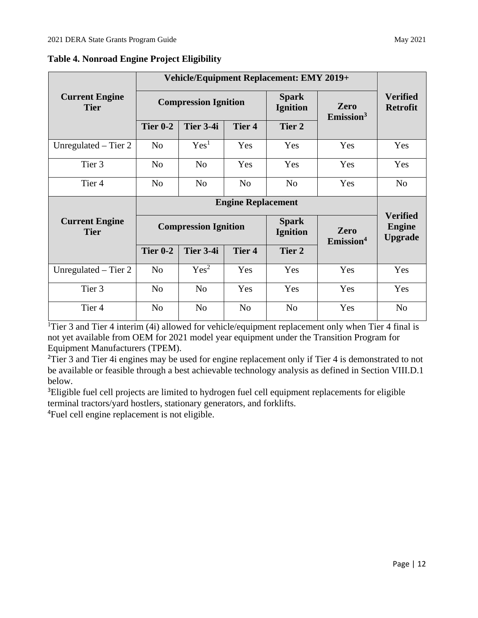|                                      | Vehicle/Equipment Replacement: EMY 2019+ |                             |                |                                 |                                  |                                                    |
|--------------------------------------|------------------------------------------|-----------------------------|----------------|---------------------------------|----------------------------------|----------------------------------------------------|
| <b>Current Engine</b><br><b>Tier</b> |                                          | <b>Compression Ignition</b> |                | <b>Spark</b><br><b>Ignition</b> | Zero<br>$E$ mission <sup>3</sup> | <b>Verified</b><br><b>Retrofit</b>                 |
|                                      | <b>Tier 0-2</b>                          | Tier 3-4i                   | <b>Tier 4</b>  | Tier 2                          |                                  |                                                    |
| Unregulated $-$ Tier 2               | N <sub>o</sub>                           | Yes <sup>1</sup>            | Yes            | Yes                             | Yes                              | Yes                                                |
| Tier 3                               | N <sub>o</sub>                           | N <sub>0</sub>              | Yes            | Yes                             | Yes                              | Yes                                                |
| Tier <sub>4</sub>                    | N <sub>o</sub>                           | N <sub>o</sub>              | N <sub>o</sub> | N <sub>o</sub>                  | Yes                              | N <sub>o</sub>                                     |
|                                      |                                          |                             |                |                                 |                                  |                                                    |
|                                      |                                          |                             |                |                                 |                                  |                                                    |
| <b>Current Engine</b><br><b>Tier</b> |                                          | <b>Compression Ignition</b> |                | <b>Spark</b><br><b>Ignition</b> | Zero                             | <b>Verified</b><br><b>Engine</b><br><b>Upgrade</b> |
|                                      | <b>Tier 0-2</b>                          | Tier 3-4i                   | <b>Tier 4</b>  | Tier 2                          | Emission <sup>4</sup>            |                                                    |
| Unregulated $-$ Tier 2               | N <sub>o</sub>                           | Yes <sup>2</sup>            | Yes            | Yes                             | Yes                              | Yes                                                |
| Tier 3                               | N <sub>o</sub>                           | N <sub>o</sub>              | Yes            | Yes                             | Yes                              | Yes                                                |

**Table 4. Nonroad Engine Project Eligibility** 

 Equipment Manufacturers (TPEM). <sup>1</sup>Tier 3 and Tier 4 interim (4i) allowed for vehicle/equipment replacement only when Tier 4 final is not yet available from OEM for 2021 model year equipment under the Transition Program for

 be available or feasible through a best achievable technology analysis as defined in Section VIII.D.1 <sup>2</sup>Tier 3 and Tier 4i engines may be used for engine replacement only if Tier 4 is demonstrated to not below.

<sup>3</sup>Eligible fuel cell projects are limited to hydrogen fuel cell equipment replacements for eligible terminal tractors/yard hostlers, stationary generators, and forklifts.

4 Fuel cell engine replacement is not eligible.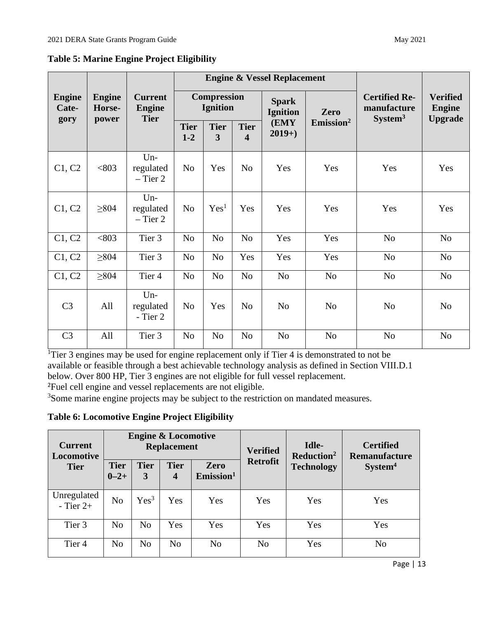|                                | <b>Engine</b><br>Horse-<br>power |                                                |                                       |                  | <b>Engine &amp; Vessel Replacement</b> | <b>Certified Re-</b><br>manufacture<br>System <sup>3</sup> | <b>Verified</b><br><b>Engine</b><br><b>Upgrade</b> |                                 |                |
|--------------------------------|----------------------------------|------------------------------------------------|---------------------------------------|------------------|----------------------------------------|------------------------------------------------------------|----------------------------------------------------|---------------------------------|----------------|
| <b>Engine</b><br>Cate-<br>gory |                                  | <b>Current</b><br><b>Engine</b><br><b>Tier</b> | <b>Compression</b><br><b>Ignition</b> |                  |                                        |                                                            |                                                    | <b>Spark</b><br><b>Ignition</b> | Zero           |
|                                |                                  |                                                | <b>Tier</b><br>$1-2$                  | <b>Tier</b><br>3 | <b>Tier</b><br>$\overline{\mathbf{4}}$ | (EMY<br>$2019+$                                            | $E$ mission <sup>2</sup>                           |                                 |                |
| C1, C2                         | < 803                            | $Un-$<br>regulated<br>$-$ Tier 2               | N <sub>o</sub>                        | Yes              | N <sub>o</sub>                         | Yes                                                        | Yes                                                | Yes                             | Yes            |
| C1, C2                         | $\geq 804$                       | $Un-$<br>regulated<br>$-$ Tier 2               | N <sub>o</sub>                        | Yes <sup>1</sup> | Yes                                    | Yes                                                        | Yes                                                | Yes                             | Yes            |
| C1, C2                         | < 803                            | Tier 3                                         | N <sub>o</sub>                        | N <sub>o</sub>   | N <sub>o</sub>                         | Yes                                                        | Yes                                                | N <sub>0</sub>                  | N <sub>o</sub> |
| C1, C2                         | $\geq 804$                       | Tier 3                                         | N <sub>o</sub>                        | No               | Yes                                    | Yes                                                        | Yes                                                | N <sub>0</sub>                  | N <sub>0</sub> |
| C1, C2                         | $\geq 804$                       | Tier <sub>4</sub>                              | N <sub>o</sub>                        | N <sub>o</sub>   | N <sub>o</sub>                         | N <sub>o</sub>                                             | N <sub>o</sub>                                     | N <sub>0</sub>                  | N <sub>o</sub> |
| C <sub>3</sub>                 | All                              | $Un-$<br>regulated<br>- Tier 2                 | N <sub>o</sub>                        | Yes              | N <sub>o</sub>                         | N <sub>o</sub>                                             | N <sub>o</sub>                                     | N <sub>o</sub>                  | N <sub>o</sub> |
| C <sub>3</sub>                 | All                              | Tier 3                                         | N <sub>o</sub>                        | N <sub>o</sub>   | N <sub>o</sub>                         | N <sub>o</sub>                                             | N <sub>o</sub>                                     | N <sub>0</sub>                  | N <sub>0</sub> |

**Table 5: Marine Engine Project Eligibility** 

<sup>1</sup>Tier 3 engines may be used for engine replacement only if Tier 4 is demonstrated to not be available or feasible through a best achievable technology analysis as defined in Section VIII.D.1 below. Over 800 HP, Tier 3 engines are not eligible for full vessel replacement.

2 Fuel cell engine and vessel replacements are not eligible.

<sup>3</sup>Some marine engine projects may be subject to the restriction on mandated measures.

**Table 6: Locomotive Engine Project Eligibility** 

| <b>Current</b><br>Locomotive |                          |                  | <b>Engine &amp; Locomotive</b><br><b>Replacement</b> |                                  | <b>Verified</b> | Idle-<br>Reduction <sup>2</sup> | <b>Certified</b><br><b>Remanufacture</b><br>System <sup>4</sup> |  |
|------------------------------|--------------------------|------------------|------------------------------------------------------|----------------------------------|-----------------|---------------------------------|-----------------------------------------------------------------|--|
| <b>Tier</b>                  | <b>Tier</b><br>$0 - 2 +$ | <b>Tier</b><br>3 | <b>Tier</b><br>$\overline{4}$                        | Zero<br>$E$ mission <sup>1</sup> | <b>Retrofit</b> | <b>Technology</b>               |                                                                 |  |
| Unregulated<br>$-$ Tier 2+   | N <sub>o</sub>           | Yes <sup>3</sup> | Yes                                                  | Yes                              | Yes             | Yes                             | Yes                                                             |  |
| Tier 3                       | N <sub>0</sub>           | No               | Yes                                                  | Yes                              | Yes             | Yes                             | Yes                                                             |  |
| Tier <sub>4</sub>            | No                       | N <sub>o</sub>   | N <sub>o</sub>                                       | N <sub>o</sub>                   | N <sub>o</sub>  | Yes                             | N <sub>o</sub>                                                  |  |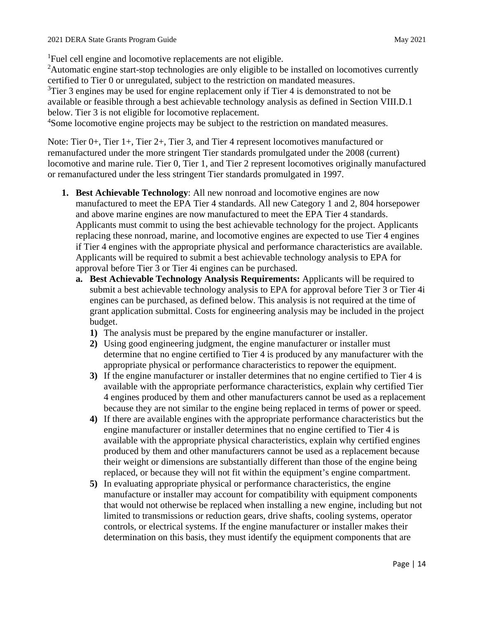<sup>1</sup>Fuel cell engine and locomotive replacements are not eligible.

<sup>2</sup>Automatic engine start-stop technologies are only eligible to be installed on locomotives currently certified to Tier 0 or unregulated, subject to the restriction on mandated measures.

 $3$ Tier 3 engines may be used for engine replacement only if Tier 4 is demonstrated to not be available or feasible through a best achievable technology analysis as defined in Section VIII.D.1 below. Tier 3 is not eligible for locomotive replacement.

<sup>4</sup>Some locomotive engine projects may be subject to the restriction on mandated measures.

Note: Tier 0+, Tier 1+, Tier 2+, Tier 3, and Tier 4 represent locomotives manufactured or remanufactured under the more stringent Tier standards promulgated under the 2008 (current) locomotive and marine rule. Tier 0, Tier 1, and Tier 2 represent locomotives originally manufactured or remanufactured under the less stringent Tier standards promulgated in 1997.

- **1. Best Achievable Technology**: All new nonroad and locomotive engines are now and above marine engines are now manufactured to meet the EPA Tier 4 standards. Applicants must commit to using the best achievable technology for the project. Applicants replacing these nonroad, marine, and locomotive engines are expected to use Tier 4 engines Applicants will be required to submit a best achievable technology analysis to EPA for manufactured to meet the EPA Tier 4 standards. All new Category 1 and 2, 804 horsepower if Tier 4 engines with the appropriate physical and performance characteristics are available. approval before Tier 3 or Tier 4i engines can be purchased.
	- **a. Best Achievable Technology Analysis Requirements:** Applicants will be required to submit a best achievable technology analysis to EPA for approval before Tier 3 or Tier 4i engines can be purchased, as defined below. This analysis is not required at the time of grant application submittal. Costs for engineering analysis may be included in the project budget.
		- **1)** The analysis must be prepared by the engine manufacturer or installer.
		- appropriate physical or performance characteristics to repower the equipment. **2)** Using good engineering judgment, the engine manufacturer or installer must determine that no engine certified to Tier 4 is produced by any manufacturer with the
		- **3)** If the engine manufacturer or installer determines that no engine certified to Tier 4 is available with the appropriate performance characteristics, explain why certified Tier 4 engines produced by them and other manufacturers cannot be used as a replacement because they are not similar to the engine being replaced in terms of power or speed.
		- engine manufacturer or installer determines that no engine certified to Tier 4 is produced by them and other manufacturers cannot be used as a replacement because replaced, or because they will not fit within the equipment's engine compartment. **4)** If there are available engines with the appropriate performance characteristics but the available with the appropriate physical characteristics, explain why certified engines their weight or dimensions are substantially different than those of the engine being
		- that would not otherwise be replaced when installing a new engine, including but not controls, or electrical systems. If the engine manufacturer or installer makes their determination on this basis, they must identify the equipment components that are **5)** In evaluating appropriate physical or performance characteristics, the engine manufacture or installer may account for compatibility with equipment components limited to transmissions or reduction gears, drive shafts, cooling systems, operator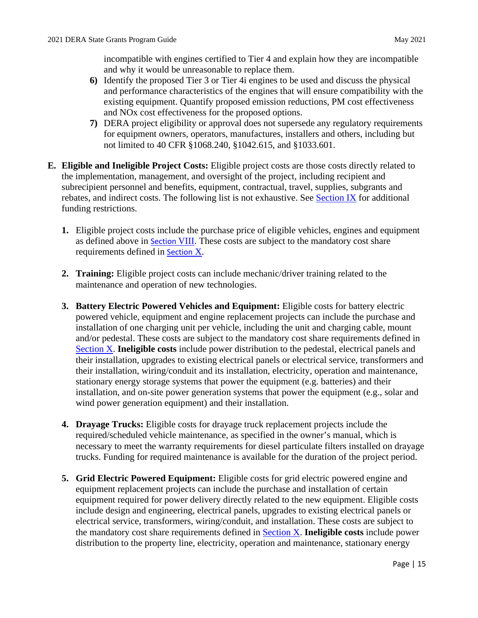incompatible with engines certified to Tier 4 and explain how they are incompatible and why it would be unreasonable to replace them.

- **6)** Identify the proposed Tier 3 or Tier 4i engines to be used and discuss the physical and performance characteristics of the engines that will ensure compatibility with the existing equipment. Quantify proposed emission reductions, PM cost effectiveness and NOx cost effectiveness for the proposed options.
- **7)** DERA project eligibility or approval does not supersede any regulatory requirements for equipment owners, operators, manufactures, installers and others, including but not limited to 40 CFR §1068.240, §1042.615, and §1033.601.
- **E. Eligible and Ineligible Project Costs:** Eligible project costs are those costs directly related to the implementation, management, and oversight of the project, including recipient and subrecipient personnel and benefits, equipment, contractual, travel, supplies, subgrants and rebates, and indirect costs. The following list is not exhaustive. See [Section IX](#page-25-0) for additional funding restrictions.
	- **1.** Eligible project costs include the purchase price of eligible vehicles, engines and equipment as defined above in [Section](#page-9-0) VI[II.](#page-9-0) These costs are subject to the mandatory cost share requirements defined in [Section](#page-28-0) [X.](#page-28-0)
	- **2. Training:** Eligible project costs can include mechanic/driver training related to the maintenance and operation of new technologies.
	- **3. Battery Electric Powered Vehicles and Equipment:** Eligible costs for battery electric powered vehicle, equipment and engine replacement projects can include the purchase and installation of one charging unit per vehicle, including the unit and charging cable, mount and/or pedestal. These costs are subject to the mandatory cost share requirements defined in [Section X.](#page-28-0) **Ineligible costs** include power distribution to the pedestal, electrical panels and their installation, upgrades to existing electrical panels or electrical service, transformers and their installation, wiring/conduit and its installation, electricity, operation and maintenance, stationary energy storage systems that power the equipment (e.g. batteries) and their installation, and on-site power generation systems that power the equipment (e.g., solar and wind power generation equipment) and their installation.
	- **4. Drayage Trucks:** Eligible costs for drayage truck replacement projects include the required/scheduled vehicle maintenance, as specified in the owner's manual, which is necessary to meet the warranty requirements for diesel particulate filters installed on drayage trucks. Funding for required maintenance is available for the duration of the project period.
	- **5. Grid Electric Powered Equipment:** Eligible costs for grid electric powered engine and equipment replacement projects can include the purchase and installation of certain equipment required for power delivery directly related to the new equipment. Eligible costs the mandatory cost share requirements defined in [Section X.](#page-28-0) **Ineligible costs** include power include design and engineering, electrical panels, upgrades to existing electrical panels or electrical service, transformers, wiring/conduit, and installation. These costs are subject to distribution to the property line, electricity, operation and maintenance, stationary energy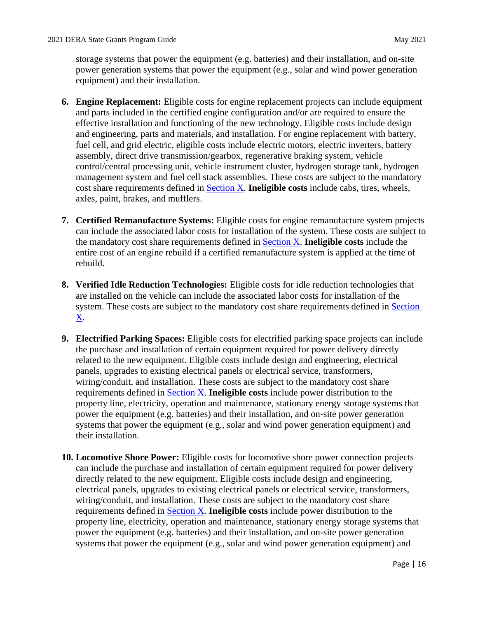storage systems that power the equipment (e.g. batteries) and their installation, and on-site power generation systems that power the equipment (e.g., solar and wind power generation equipment) and their installation.

- and parts included in the certified engine configuration and/or are required to ensure the management system and fuel cell stack assemblies. These costs are subject to the mandatory cost share requirements defined in [Section X.](#page-28-0) **Ineligible costs** include cabs, tires, wheels, **6. Engine Replacement:** Eligible costs for engine replacement projects can include equipment effective installation and functioning of the new technology. Eligible costs include design and engineering, parts and materials, and installation. For engine replacement with battery, fuel cell, and grid electric, eligible costs include electric motors, electric inverters, battery assembly, direct drive transmission/gearbox, regenerative braking system, vehicle control/central processing unit, vehicle instrument cluster, hydrogen storage tank, hydrogen axles, paint, brakes, and mufflers.
- the mandatory cost share requirements defined in [Section X.](#page-28-0) **Ineligible costs** include the **7. Certified Remanufacture Systems:** Eligible costs for engine remanufacture system projects can include the associated labor costs for installation of the system. These costs are subject to entire cost of an engine rebuild if a certified remanufacture system is applied at the time of rebuild.
- **8. Verified Idle Reduction Technologies:** Eligible costs for idle reduction technologies that are installed on the vehicle can include the associated labor costs for installation of the system. These costs are subject to the mandatory cost share requirements defined in Section [X.](#page-28-0)
- wiring/conduit, and installation. These costs are subject to the mandatory cost share **9. Electrified Parking Spaces:** Eligible costs for electrified parking space projects can include the purchase and installation of certain equipment required for power delivery directly related to the new equipment. Eligible costs include design and engineering, electrical panels, upgrades to existing electrical panels or electrical service, transformers, requirements defined in [Section X.](#page-28-0) **Ineligible costs** include power distribution to the property line, electricity, operation and maintenance, stationary energy storage systems that power the equipment (e.g. batteries) and their installation, and on-site power generation systems that power the equipment (e.g., solar and wind power generation equipment) and their installation.
- electrical panels, upgrades to existing electrical panels or electrical service, transformers, wiring/conduit, and installation. These costs are subject to the mandatory cost share **10. Locomotive Shore Power:** Eligible costs for locomotive shore power connection projects can include the purchase and installation of certain equipment required for power delivery directly related to the new equipment. Eligible costs include design and engineering, requirements defined in [Section X.](#page-28-0) **Ineligible costs** include power distribution to the property line, electricity, operation and maintenance, stationary energy storage systems that power the equipment (e.g. batteries) and their installation, and on-site power generation systems that power the equipment (e.g., solar and wind power generation equipment) and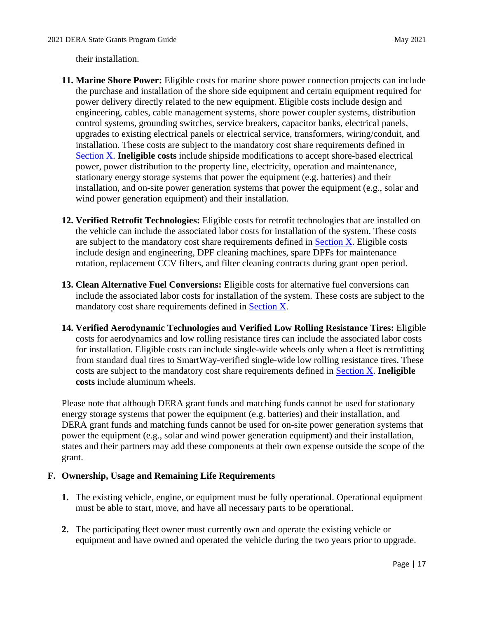their installation.

- installation. These costs are subject to the mandatory cost share requirements defined in installation, and on-site power generation systems that power the equipment (e.g., solar and **11. Marine Shore Power:** Eligible costs for marine shore power connection projects can include the purchase and installation of the shore side equipment and certain equipment required for power delivery directly related to the new equipment. Eligible costs include design and engineering, cables, cable management systems, shore power coupler systems, distribution control systems, grounding switches, service breakers, capacitor banks, electrical panels, upgrades to existing electrical panels or electrical service, transformers, wiring/conduit, and [Section X.](#page-28-0) **Ineligible costs** include shipside modifications to accept shore-based electrical power, power distribution to the property line, electricity, operation and maintenance, stationary energy storage systems that power the equipment (e.g. batteries) and their wind power generation equipment) and their installation.
- **12. Verified Retrofit Technologies:** Eligible costs for retrofit technologies that are installed on the vehicle can include the associated labor costs for installation of the system. These costs are subject to the mandatory cost share requirements defined in [Section X.](#page-28-0) Eligible costs include design and engineering, DPF cleaning machines, spare DPFs for maintenance rotation, replacement CCV filters, and filter cleaning contracts during grant open period.
- mandatory cost share requirements defined in **Section X**. **13. Clean Alternative Fuel Conversions:** Eligible costs for alternative fuel conversions can include the associated labor costs for installation of the system. These costs are subject to the
- for installation. Eligible costs can include single-wide wheels only when a fleet is retrofitting **14. Verified Aerodynamic Technologies and Verified Low Rolling Resistance Tires:** Eligible costs for aerodynamics and low rolling resistance tires can include the associated labor costs from standard dual tires to SmartWay-verified single-wide low rolling resistance tires. These costs are subject to the mandatory cost share requirements defined in [Section X.](#page-28-0) **Ineligible costs** include aluminum wheels.

 DERA grant funds and matching funds cannot be used for on-site power generation systems that Please note that although DERA grant funds and matching funds cannot be used for stationary energy storage systems that power the equipment (e.g. batteries) and their installation, and power the equipment (e.g., solar and wind power generation equipment) and their installation, states and their partners may add these components at their own expense outside the scope of the grant.

# **F. Ownership, Usage and Remaining Life Requirements**

- **1.** The existing vehicle, engine, or equipment must be fully operational. Operational equipment must be able to start, move, and have all necessary parts to be operational.
- equipment and have owned and operated the vehicle during the two years prior to upgrade. **2.** The participating fleet owner must currently own and operate the existing vehicle or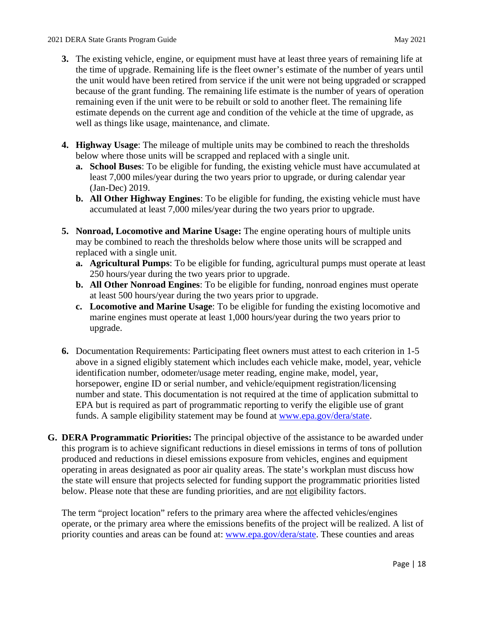- **3.** The existing vehicle, engine, or equipment must have at least three years of remaining life at the time of upgrade. Remaining life is the fleet owner's estimate of the number of years until because of the grant funding. The remaining life estimate is the number of years of operation estimate depends on the current age and condition of the vehicle at the time of upgrade, as well as things like usage, maintenance, and climate. the unit would have been retired from service if the unit were not being upgraded or scrapped remaining even if the unit were to be rebuilt or sold to another fleet. The remaining life
- **4. Highway Usage**: The mileage of multiple units may be combined to reach the thresholds below where those units will be scrapped and replaced with a single unit.
	- (Jan-Dec) 2019. **a. School Buses**: To be eligible for funding, the existing vehicle must have accumulated at least 7,000 miles/year during the two years prior to upgrade, or during calendar year
	- **b. All Other Highway Engines**: To be eligible for funding, the existing vehicle must have accumulated at least 7,000 miles/year during the two years prior to upgrade.
- **5. Nonroad, Locomotive and Marine Usage:** The engine operating hours of multiple units may be combined to reach the thresholds below where those units will be scrapped and replaced with a single unit.
	- **a. Agricultural Pumps**: To be eligible for funding, agricultural pumps must operate at least 250 hours/year during the two years prior to upgrade.
	- **b. All Other Nonroad Engines**: To be eligible for funding, nonroad engines must operate at least 500 hours/year during the two years prior to upgrade.
	- marine engines must operate at least 1,000 hours/year during the two years prior to **c. Locomotive and Marine Usage**: To be eligible for funding the existing locomotive and upgrade.
- EPA but is required as part of programmatic reporting to verify the eligible use of grant **6.** Documentation Requirements: Participating fleet owners must attest to each criterion in 1-5 above in a signed eligibly statement which includes each vehicle make, model, year, vehicle identification number, odometer/usage meter reading, engine make, model, year, horsepower, engine ID or serial number, and vehicle/equipment registration/licensing number and state. This documentation is not required at the time of application submittal to funds. A sample eligibility statement may be found at [www.epa.gov/dera/state.](http://www.epa.gov/dera/state)
- the state will ensure that projects selected for funding support the programmatic priorities listed **G. DERA Programmatic Priorities:** The principal objective of the assistance to be awarded under this program is to achieve significant reductions in diesel emissions in terms of tons of pollution produced and reductions in diesel emissions exposure from vehicles, engines and equipment operating in areas designated as poor air quality areas. The state's workplan must discuss how below. Please note that these are funding priorities, and are not eligibility factors.

The term "project location" refers to the primary area where the affected vehicles/engines operate, or the primary area where the emissions benefits of the project will be realized. A list of priority counties and areas can be found at: [www.epa.gov/dera/state.](http://www.epa.gov/dera/state) These counties and areas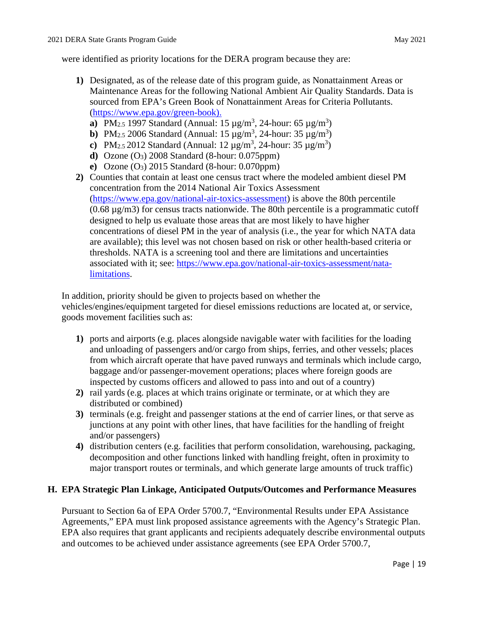were identified as priority locations for the DERA program because they are:

- Maintenance Areas for the following National Ambient Air Quality Standards. Data is **1)** Designated, as of the release date of this program guide, as Nonattainment Areas or sourced from EPA's Green Book of Nonattainment Areas for Criteria Pollutants. [\(https://www.epa.gov/green-book\)](https://www.epa.gov/green-book).
	- **a**) PM<sub>2.5</sub> 1997 Standard (Annual:  $15 \mu g/m^3$ , 24-hour:  $65 \mu g/m^3$ )
	- **b**) PM<sub>2.5</sub> 2006 Standard (Annual:  $15 \mu g/m^3$ , 24-hour:  $35 \mu g/m^3$ )
	- **c**) PM<sub>2.5</sub> 2012 Standard (Annual:  $12 \mu g/m^3$ , 24-hour:  $35 \mu g/m^3$ )
	- **d)** Ozone (O3) 2008 Standard (8-hour: 0.075ppm)
	- **e)** Ozone (O3) 2015 Standard (8-hour: 0.070ppm)
- **2)** Counties that contain at least one census tract where the modeled ambient diesel PM concentration from the 2014 National Air Toxics Assessment [\(https://www.epa.gov/national-air-toxics-assessment\)](https://www.epa.gov/national-air-toxics-assessment) is above the 80th percentile (0.68 µg/m3) for census tracts nationwide. The 80th percentile is a programmatic cutoff designed to help us evaluate those areas that are most likely to have higher concentrations of diesel PM in the year of analysis (i.e., the year for which NATA data are available); this level was not chosen based on risk or other health-based criteria or thresholds. NATA is a screening tool and there are limitations and uncertainties associated with it; see: [https://www.epa.gov/national-air-toxics-assessment/nata](https://www.epa.gov/national-air-toxics-assessment/nata-limitations)[limitations.](https://www.epa.gov/national-air-toxics-assessment/nata-limitations)

 In addition, priority should be given to projects based on whether the vehicles/engines/equipment targeted for diesel emissions reductions are located at, or service, goods movement facilities such as:

- inspected by customs officers and allowed to pass into and out of a country) **1)** ports and airports (e.g. places alongside navigable water with facilities for the loading and unloading of passengers and/or cargo from ships, ferries, and other vessels; places from which aircraft operate that have paved runways and terminals which include cargo, baggage and/or passenger-movement operations; places where foreign goods are
- **2)** rail yards (e.g. places at which trains originate or terminate, or at which they are distributed or combined)
- and/or passengers) **3)** terminals (e.g. freight and passenger stations at the end of carrier lines, or that serve as junctions at any point with other lines, that have facilities for the handling of freight
- **4)** distribution centers (e.g. facilities that perform consolidation, warehousing, packaging, decomposition and other functions linked with handling freight, often in proximity to major transport routes or terminals, and which generate large amounts of truck traffic)

# **H. EPA Strategic Plan Linkage, Anticipated Outputs/Outcomes and Performance Measures**

Pursuant to Section 6a of EPA Order 5700.7, "Environmental Results under EPA Assistance Agreements," EPA must link proposed assistance agreements with the Agency's Strategic Plan. EPA also requires that grant applicants and recipients adequately describe environmental outputs and outcomes to be achieved under assistance agreements (see EPA Order 5700.7,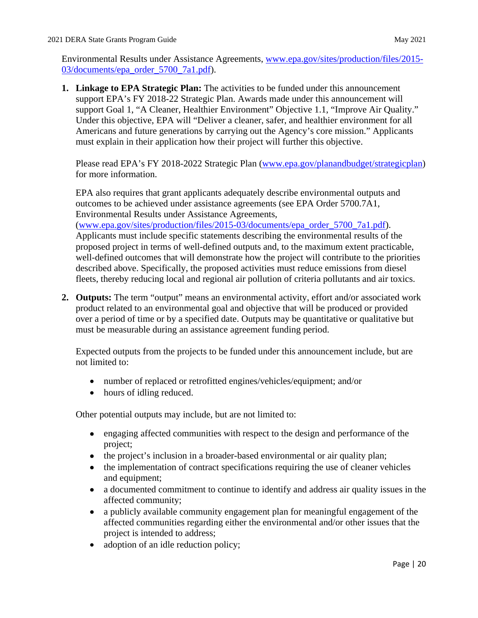Environmental Results under Assistance Agreements, [www.epa.gov/sites/production/files/2015-](https://www.epa.gov/sites/production/files/2015-03/documents/epa_order_5700_7a1.pdf) [03/documents/epa\\_order\\_5700\\_7a1.pdf\)](https://www.epa.gov/sites/production/files/2015-03/documents/epa_order_5700_7a1.pdf).

 Under this objective, EPA will "Deliver a cleaner, safer, and healthier environment for all **1. Linkage to EPA Strategic Plan:** The activities to be funded under this announcement support EPA's FY 2018-22 Strategic Plan. Awards made under this announcement will support Goal 1, "A Cleaner, Healthier Environment" Objective 1.1, "Improve Air Quality." Americans and future generations by carrying out the Agency's core mission." Applicants must explain in their application how their project will further this objective.

Please read EPA's FY 2018-2022 Strategic Plan [\(www.epa.gov/planandbudget/strategicplan\)](https://www.epa.gov/planandbudget/strategicplan) for more information.

 outcomes to be achieved under assistance agreements (see EPA Order 5700.7A1, EPA also requires that grant applicants adequately describe environmental outputs and Environmental Results under Assistance Agreements,

[\(www.epa.gov/sites/production/files/2015-03/documents/epa\\_order\\_5700\\_7a1.pdf\)](http://www.epa.gov/sites/production/files/2015-03/documents/epa_order_5700_7a1.pdf). Applicants must include specific statements describing the environmental results of the proposed project in terms of well-defined outputs and, to the maximum extent practicable, well-defined outcomes that will demonstrate how the project will contribute to the priorities described above. Specifically, the proposed activities must reduce emissions from diesel fleets, thereby reducing local and regional air pollution of criteria pollutants and air toxics.

 over a period of time or by a specified date. Outputs may be quantitative or qualitative but must be measurable during an assistance agreement funding period. **2. Outputs:** The term "output" means an environmental activity, effort and/or associated work product related to an environmental goal and objective that will be produced or provided

 must be measurable during an assistance agreement funding period. Expected outputs from the projects to be funded under this announcement include, but are not limited to:

- number of replaced or retrofitted engines/vehicles/equipment; and/or
- hours of idling reduced.

Other potential outputs may include, but are not limited to:

- engaging affected communities with respect to the design and performance of the project;
- the project's inclusion in a broader-based environmental or air quality plan;
- the implementation of contract specifications requiring the use of cleaner vehicles and equipment;
- a documented commitment to continue to identify and address air quality issues in the affected community;
- affected communities regarding either the environmental and/or other issues that the • a publicly available community engagement plan for meaningful engagement of the project is intended to address;
- adoption of an idle reduction policy;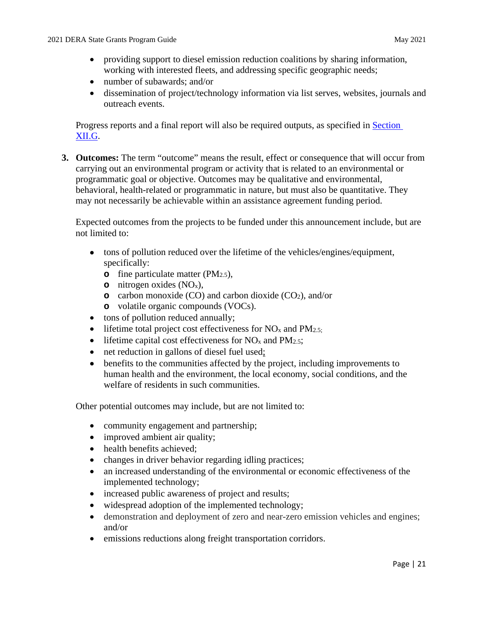- providing support to diesel emission reduction coalitions by sharing information, working with interested fleets, and addressing specific geographic needs;
- number of subawards; and/or
- dissemination of project/technology information via list serves, websites, journals and outreach events.

Progress reports and a final report will also be required outputs, as specified in [Section](#page-32-0)  [XII.G.](#page-32-0)

 behavioral, health-related or programmatic in nature, but must also be quantitative. They **3. Outcomes:** The term "outcome" means the result, effect or consequence that will occur from carrying out an environmental program or activity that is related to an environmental or programmatic goal or objective. Outcomes may be qualitative and environmental, may not necessarily be achievable within an assistance agreement funding period.

Expected outcomes from the projects to be funded under this announcement include, but are not limited to:

- tons of pollution reduced over the lifetime of the vehicles/engines/equipment, specifically:
	- **o** fine particulate matter (PM<sub>2.5</sub>),
	- **o** nitrogen oxides (NOx),
	- **o** carbon monoxide (CO) and carbon dioxide (CO2), and/or
	- **o** volatile organic compounds (VOCs).
- tons of pollution reduced annually;
- lifetime total project cost effectiveness for  $NO<sub>x</sub>$  and  $PM<sub>2.5</sub>$ ;
- lifetime capital cost effectiveness for  $NO<sub>x</sub>$  and  $PM<sub>2.5</sub>$ ;
- net reduction in gallons of diesel fuel used;
- • benefits to the communities affected by the project, including improvements to human health and the environment, the local economy, social conditions, and the welfare of residents in such communities.

Other potential outcomes may include, but are not limited to:

- community engagement and partnership;
- improved ambient air quality;
- health benefits achieved;
- changes in driver behavior regarding idling practices;
- an increased understanding of the environmental or economic effectiveness of the implemented technology;
- increased public awareness of project and results;
- widespread adoption of the implemented technology;
- • demonstration and deployment of zero and near-zero emission vehicles and engines; and/or
- emissions reductions along freight transportation corridors.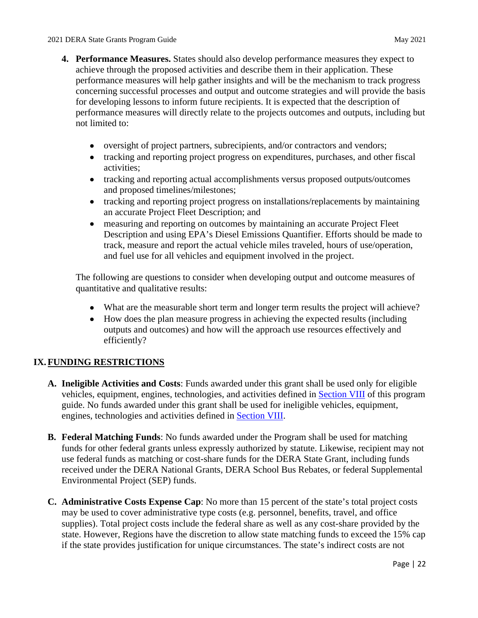- performance measures will help gather insights and will be the mechanism to track progress performance measures will directly relate to the projects outcomes and outputs, including but **4. Performance Measures.** States should also develop performance measures they expect to achieve through the proposed activities and describe them in their application. These concerning successful processes and output and outcome strategies and will provide the basis for developing lessons to inform future recipients. It is expected that the description of not limited to:
	- oversight of project partners, subrecipients, and/or contractors and vendors;
	- tracking and reporting project progress on expenditures, purchases, and other fiscal activities;
	- tracking and reporting actual accomplishments versus proposed outputs/outcomes and proposed timelines/milestones;
	- tracking and reporting project progress on installations/replacements by maintaining an accurate Project Fleet Description; and
	- • measuring and reporting on outcomes by maintaining an accurate Project Fleet Description and using EPA's Diesel Emissions Quantifier. Efforts should be made to track, measure and report the actual vehicle miles traveled, hours of use/operation, and fuel use for all vehicles and equipment involved in the project.

 quantitative and qualitative results: The following are questions to consider when developing output and outcome measures of

- What are the measurable short term and longer term results the project will achieve?
- How does the plan measure progress in achieving the expected results (including outputs and outcomes) and how will the approach use resources effectively and efficiently?

# <span id="page-25-0"></span>**IX. FUNDING RESTRICTIONS**

- **A. Ineligible Activities and Costs**: Funds awarded under this grant shall be used only for eligible guide. No funds awarded under this grant shall be used for ineligible vehicles, equipment, vehicles, equipment, engines, technologies, and activities defined in [Section VIII](#page-9-0) of this program engines, technologies and activities defined in [Section VIII.](#page-9-0)
- received under the DERA National Grants, DERA School Bus Rebates, or federal Supplemental **B. Federal Matching Funds**: No funds awarded under the Program shall be used for matching funds for other federal grants unless expressly authorized by statute. Likewise, recipient may not use federal funds as matching or cost-share funds for the DERA State Grant, including funds Environmental Project (SEP) funds.
- if the state provides justification for unique circumstances. The state's indirect costs are not **C. Administrative Costs Expense Cap**: No more than 15 percent of the state's total project costs may be used to cover administrative type costs (e.g. personnel, benefits, travel, and office supplies). Total project costs include the federal share as well as any cost-share provided by the state. However, Regions have the discretion to allow state matching funds to exceed the 15% cap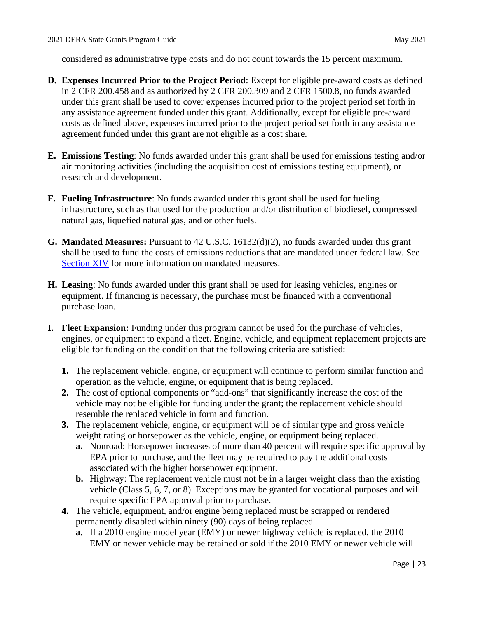considered as administrative type costs and do not count towards the 15 percent maximum.

- under this grant shall be used to cover expenses incurred prior to the project period set forth in agreement funded under this grant are not eligible as a cost share. **D. Expenses Incurred Prior to the Project Period**: Except for eligible pre-award costs as defined in 2 CFR 200.458 and as authorized by 2 CFR 200.309 and 2 CFR 1500.8, no funds awarded any assistance agreement funded under this grant. Additionally, except for eligible pre-award costs as defined above, expenses incurred prior to the project period set forth in any assistance
- **E. Emissions Testing**: No funds awarded under this grant shall be used for emissions testing and/or air monitoring activities (including the acquisition cost of emissions testing equipment), or research and development.
- **F. Fueling Infrastructure**: No funds awarded under this grant shall be used for fueling natural gas, liquefied natural gas, and or other fuels. infrastructure, such as that used for the production and/or distribution of biodiesel, compressed
- **G. Mandated Measures:** Pursuant to 42 U.S.C. 16132(d)(2), no funds awarded under this grant shall be used to fund the costs of emissions reductions that are mandated under federal law. See [Section XIV](#page-36-0) for more information on mandated measures.
- **H. Leasing**: No funds awarded under this grant shall be used for leasing vehicles, engines or equipment. If financing is necessary, the purchase must be financed with a conventional purchase loan.
- **I. Fleet Expansion:** Funding under this program cannot be used for the purchase of vehicles, engines, or equipment to expand a fleet. Engine, vehicle, and equipment replacement projects are eligible for funding on the condition that the following criteria are satisfied:
	- **1.** The replacement vehicle, engine, or equipment will continue to perform similar function and operation as the vehicle, engine, or equipment that is being replaced.
	- vehicle may not be eligible for funding under the grant; the replacement vehicle should **2.** The cost of optional components or "add-ons" that significantly increase the cost of the resemble the replaced vehicle in form and function.
	- **3.** The replacement vehicle, engine, or equipment will be of similar type and gross vehicle weight rating or horsepower as the vehicle, engine, or equipment being replaced.
		- **a.** Nonroad: Horsepower increases of more than 40 percent will require specific approval by EPA prior to purchase, and the fleet may be required to pay the additional costs associated with the higher horsepower equipment.
		- vehicle (Class 5, 6, 7, or 8). Exceptions may be granted for vocational purposes and will **b.** Highway: The replacement vehicle must not be in a larger weight class than the existing require specific EPA approval prior to purchase.
	- **4.** The vehicle, equipment, and/or engine being replaced must be scrapped or rendered permanently disabled within ninety (90) days of being replaced.
		- **a.** If a 2010 engine model year (EMY) or newer highway vehicle is replaced, the 2010 EMY or newer vehicle may be retained or sold if the 2010 EMY or newer vehicle will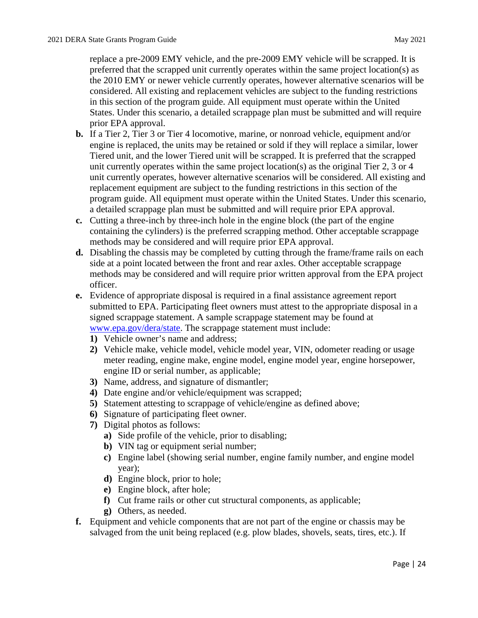preferred that the scrapped unit currently operates within the same project location(s) as replace a pre-2009 EMY vehicle, and the pre-2009 EMY vehicle will be scrapped. It is the 2010 EMY or newer vehicle currently operates, however alternative scenarios will be considered. All existing and replacement vehicles are subject to the funding restrictions in this section of the program guide. All equipment must operate within the United States. Under this scenario, a detailed scrappage plan must be submitted and will require prior EPA approval.

- Tiered unit, and the lower Tiered unit will be scrapped. It is preferred that the scrapped unit currently operates within the same project location(s) as the original Tier 2, 3 or 4 **b.** If a Tier 2, Tier 3 or Tier 4 locomotive, marine, or nonroad vehicle, equipment and/or engine is replaced, the units may be retained or sold if they will replace a similar, lower unit currently operates, however alternative scenarios will be considered. All existing and replacement equipment are subject to the funding restrictions in this section of the program guide. All equipment must operate within the United States. Under this scenario, a detailed scrappage plan must be submitted and will require prior EPA approval.
- **c.** Cutting a three-inch by three-inch hole in the engine block (the part of the engine containing the cylinders) is the preferred scrapping method. Other acceptable scrappage methods may be considered and will require prior EPA approval.
- side at a point located between the front and rear axles. Other acceptable scrappage **d.** Disabling the chassis may be completed by cutting through the frame/frame rails on each methods may be considered and will require prior written approval from the EPA project officer.
- **e.** Evidence of appropriate disposal is required in a final assistance agreement report submitted to EPA. Participating fleet owners must attest to the appropriate disposal in a signed scrappage statement. A sample scrappage statement may be found at [www.epa.gov/dera/state.](http://www.epa.gov/dera/state) The scrappage statement must include:
	- **1)** Vehicle owner's name and address;
	- **2)** Vehicle make, vehicle model, vehicle model year, VIN, odometer reading or usage meter reading, engine make, engine model, engine model year, engine horsepower, engine ID or serial number, as applicable;
	- **3)** Name, address, and signature of dismantler;
	- **4)** Date engine and/or vehicle/equipment was scrapped;
	- **5)** Statement attesting to scrappage of vehicle/engine as defined above;
	- **6)** Signature of participating fleet owner.
	- **7)** Digital photos as follows:
		- **a)** Side profile of the vehicle, prior to disabling;
		- **b)** VIN tag or equipment serial number;
		- **c)** Engine label (showing serial number, engine family number, and engine model year);
		- **d)** Engine block, prior to hole;
		- **e)** Engine block, after hole;
		- **f)** Cut frame rails or other cut structural components, as applicable;
		- **g)** Others, as needed.
- **f.** Equipment and vehicle components that are not part of the engine or chassis may be salvaged from the unit being replaced (e.g. plow blades, shovels, seats, tires, etc.). If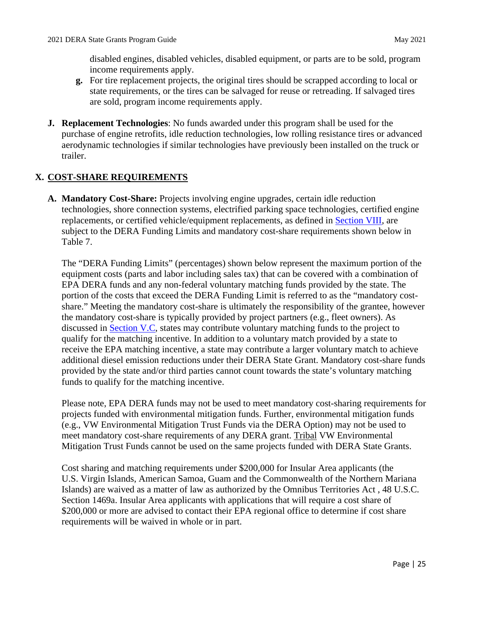disabled engines, disabled vehicles, disabled equipment, or parts are to be sold, program income requirements apply.

- **g.** For tire replacement projects, the original tires should be scrapped according to local or state requirements, or the tires can be salvaged for reuse or retreading. If salvaged tires are sold, program income requirements apply.
- **J. Replacement Technologies**: No funds awarded under this program shall be used for the purchase of engine retrofits, idle reduction technologies, low rolling resistance tires or advanced aerodynamic technologies if similar technologies have previously been installed on the truck or trailer.

# <span id="page-28-0"></span>**X. COST-SHARE REQUIREMENTS**

replacements, or certified vehicle/equipment replacements, as defined in **Section VIII**, are **A. Mandatory Cost-Share:** Projects involving engine upgrades, certain idle reduction technologies, shore connection systems, electrified parking space technologies, certified engine subject to the DERA Funding Limits and mandatory cost-share requirements shown below in Table 7.

 The "DERA Funding Limits" (percentages) shown below represent the maximum portion of the equipment costs (parts and labor including sales tax) that can be covered with a combination of portion of the costs that exceed the DERA Funding Limit is referred to as the "mandatory cost- receive the EPA matching incentive, a state may contribute a larger voluntary match to achieve funds to qualify for the matching incentive. EPA DERA funds and any non-federal voluntary matching funds provided by the state. The share." Meeting the mandatory cost-share is ultimately the responsibility of the grantee, however the mandatory cost-share is typically provided by project partners (e.g., fleet owners). As discussed in [Section V.C,](#page-6-0) states may contribute voluntary matching funds to the project to qualify for the matching incentive. In addition to a voluntary match provided by a state to additional diesel emission reductions under their DERA State Grant. Mandatory cost-share funds provided by the state and/or third parties cannot count towards the state's voluntary matching

meet mandatory cost-share requirements of any DERA grant. Tribal VW Environmental Please note, EPA DERA funds may not be used to meet mandatory cost-sharing requirements for projects funded with environmental mitigation funds. Further, environmental mitigation funds (e.g., VW Environmental Mitigation Trust Funds via the DERA Option) may not be used to Mitigation Trust Funds cannot be used on the same projects funded with DERA State Grants.

 Cost sharing and matching requirements under \$200,000 for Insular Area applicants (the \$200,000 or more are advised to contact their EPA regional office to determine if cost share U.S. Virgin Islands, American Samoa, Guam and the Commonwealth of the Northern Mariana Islands) are waived as a matter of law as authorized by the Omnibus Territories Act , 48 U.S.C. Section 1469a. Insular Area applicants with applications that will require a cost share of requirements will be waived in whole or in part.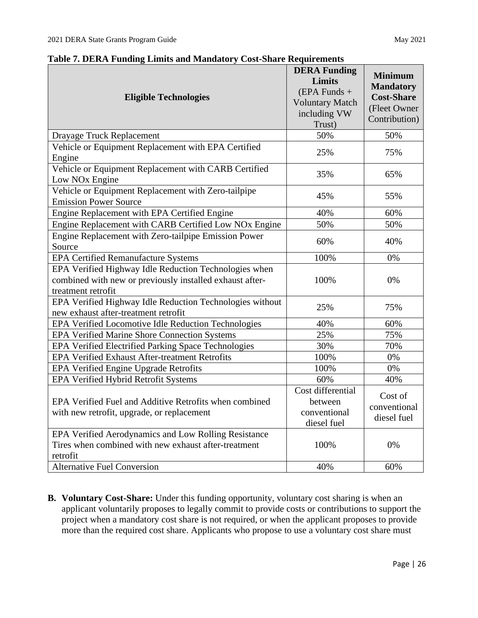| <b>Eligible Technologies</b>                                                                                                            | <b>DERA Funding</b><br><b>Limits</b><br>$(EPA$ Funds +<br><b>Voluntary Match</b><br>including VW<br>Trust) | <b>Minimum</b><br><b>Mandatory</b><br><b>Cost-Share</b><br>(Fleet Owner<br>Contribution) |
|-----------------------------------------------------------------------------------------------------------------------------------------|------------------------------------------------------------------------------------------------------------|------------------------------------------------------------------------------------------|
| Drayage Truck Replacement                                                                                                               | 50%                                                                                                        | 50%                                                                                      |
| Vehicle or Equipment Replacement with EPA Certified<br>Engine                                                                           | 25%                                                                                                        | 75%                                                                                      |
| Vehicle or Equipment Replacement with CARB Certified<br>Low NO <sub>x</sub> Engine                                                      | 35%                                                                                                        | 65%                                                                                      |
| Vehicle or Equipment Replacement with Zero-tailpipe<br><b>Emission Power Source</b>                                                     | 45%                                                                                                        | 55%                                                                                      |
| Engine Replacement with EPA Certified Engine                                                                                            | 40%                                                                                                        | 60%                                                                                      |
| Engine Replacement with CARB Certified Low NOx Engine                                                                                   | 50%                                                                                                        | 50%                                                                                      |
| Engine Replacement with Zero-tailpipe Emission Power<br>Source                                                                          | 60%                                                                                                        | 40%                                                                                      |
| <b>EPA Certified Remanufacture Systems</b>                                                                                              | 100%                                                                                                       | 0%                                                                                       |
| EPA Verified Highway Idle Reduction Technologies when<br>combined with new or previously installed exhaust after-<br>treatment retrofit | 100%                                                                                                       | 0%                                                                                       |
| EPA Verified Highway Idle Reduction Technologies without<br>new exhaust after-treatment retrofit                                        | 25%                                                                                                        | 75%                                                                                      |
| EPA Verified Locomotive Idle Reduction Technologies                                                                                     | 40%                                                                                                        | 60%                                                                                      |
| EPA Verified Marine Shore Connection Systems                                                                                            | 25%                                                                                                        | 75%                                                                                      |
| EPA Verified Electrified Parking Space Technologies                                                                                     | 30%                                                                                                        | 70%                                                                                      |
| <b>EPA Verified Exhaust After-treatment Retrofits</b>                                                                                   | 100%                                                                                                       | 0%                                                                                       |
| EPA Verified Engine Upgrade Retrofits                                                                                                   | 100%                                                                                                       | 0%                                                                                       |
| EPA Verified Hybrid Retrofit Systems                                                                                                    | 60%                                                                                                        | 40%                                                                                      |
| EPA Verified Fuel and Additive Retrofits when combined<br>with new retrofit, upgrade, or replacement                                    | Cost differential<br>between<br>conventional<br>diesel fuel                                                | Cost of<br>conventional<br>diesel fuel                                                   |
| EPA Verified Aerodynamics and Low Rolling Resistance<br>Tires when combined with new exhaust after-treatment<br>retrofit                | 100%                                                                                                       | 0%                                                                                       |
| <b>Alternative Fuel Conversion</b>                                                                                                      | 40%                                                                                                        | 60%                                                                                      |

**Table 7. DERA Funding Limits and Mandatory Cost-Share Requirements** 

 project when a mandatory cost share is not required, or when the applicant proposes to provide more than the required cost share. Applicants who propose to use a voluntary cost share must **B. Voluntary Cost-Share:** Under this funding opportunity, voluntary cost sharing is when an applicant voluntarily proposes to legally commit to provide costs or contributions to support the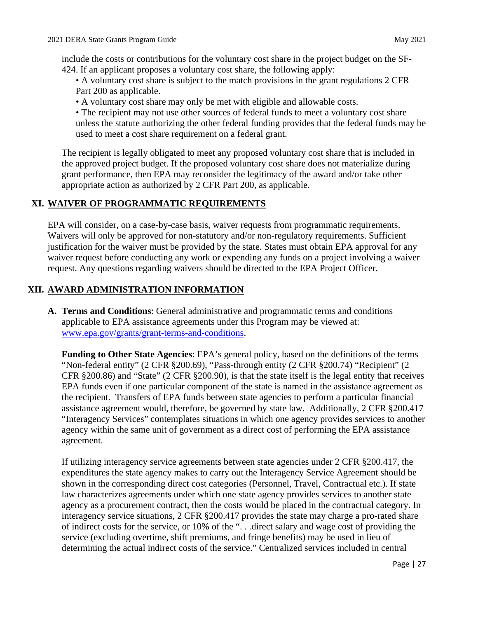include the costs or contributions for the voluntary cost share in the project budget on the SF-424. If an applicant proposes a voluntary cost share, the following apply:

- 424. If an applicant proposes a voluntary cost share, the following apply: A voluntary cost share is subject to the match provisions in the grant regulations 2 CFR Part 200 as applicable.
	- A voluntary cost share may only be met with eligible and allowable costs.

 • The recipient may not use other sources of federal funds to meet a voluntary cost share unless the statute authorizing the other federal funding provides that the federal funds may be used to meet a cost share requirement on a federal grant.

 the approved project budget. If the proposed voluntary cost share does not materialize during grant performance, then EPA may reconsider the legitimacy of the award and/or take other The recipient is legally obligated to meet any proposed voluntary cost share that is included in appropriate action as authorized by 2 CFR Part 200, as applicable.

# **XI. WAIVER OF PROGRAMMATIC REQUIREMENTS**

EPA will consider, on a case-by-case basis, waiver requests from programmatic requirements. Waivers will only be approved for non-statutory and/or non-regulatory requirements. Sufficient justification for the waiver must be provided by the state. States must obtain EPA approval for any waiver request before conducting any work or expending any funds on a project involving a waiver request. Any questions regarding waivers should be directed to the EPA Project Officer.

# **XII. AWARD ADMINISTRATION INFORMATION**

**A. Terms and Conditions**: General administrative and programmatic terms and conditions applicable to EPA assistance agreements under this Program may be viewed at: [www.epa.gov/grants/grant-terms-and-conditions.](http://www.epa.gov/grants/grant-terms-and-conditions)

 CFR §200.86) and "State" (2 CFR §200.90), is that the state itself is the legal entity that receives **Funding to Other State Agencies**: EPA's general policy, based on the definitions of the terms "Non-federal entity" (2 CFR §200.69), "Pass-through entity (2 CFR §200.74) "Recipient" (2 EPA funds even if one particular component of the state is named in the assistance agreement as the recipient. Transfers of EPA funds between state agencies to perform a particular financial assistance agreement would, therefore, be governed by state law. Additionally, 2 CFR §200.417 "Interagency Services" contemplates situations in which one agency provides services to another agency within the same unit of government as a direct cost of performing the EPA assistance agreement.

 If utilizing interagency service agreements between state agencies under 2 CFR §200.417, the service (excluding overtime, shift premiums, and fringe benefits) may be used in lieu of determining the actual indirect costs of the service." Centralized services included in central expenditures the state agency makes to carry out the Interagency Service Agreement should be shown in the corresponding direct cost categories (Personnel, Travel, Contractual etc.). If state law characterizes agreements under which one state agency provides services to another state agency as a procurement contract, then the costs would be placed in the contractual category. In interagency service situations, 2 CFR §200.417 provides the state may charge a pro-rated share of indirect costs for the service, or 10% of the ". . .direct salary and wage cost of providing the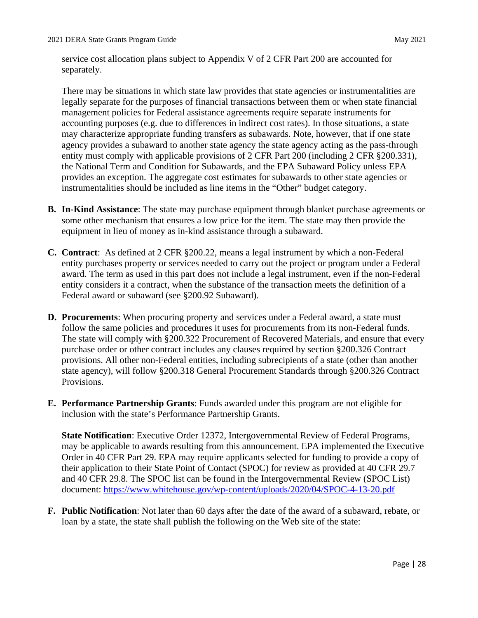service cost allocation plans subject to Appendix V of 2 CFR Part 200 are accounted for separately.

 accounting purposes (e.g. due to differences in indirect cost rates). In those situations, a state the National Term and Condition for Subawards, and the EPA Subaward Policy unless EPA instrumentalities should be included as line items in the "Other" budget category. There may be situations in which state law provides that state agencies or instrumentalities are legally separate for the purposes of financial transactions between them or when state financial management policies for Federal assistance agreements require separate instruments for may characterize appropriate funding transfers as subawards. Note, however, that if one state agency provides a subaward to another state agency the state agency acting as the pass-through entity must comply with applicable provisions of 2 CFR Part 200 (including 2 CFR §200.331), provides an exception. The aggregate cost estimates for subawards to other state agencies or

- some other mechanism that ensures a low price for the item. The state may then provide the equipment in lieu of money as in-kind assistance through a subaward. **B. In-Kind Assistance**: The state may purchase equipment through blanket purchase agreements or
- entity purchases property or services needed to carry out the project or program under a Federal **C. Contract**: As defined at 2 CFR §200.22, means a legal instrument by which a non-Federal award. The term as used in this part does not include a legal instrument, even if the non-Federal entity considers it a contract, when the substance of the transaction meets the definition of a Federal award or subaward (see §200.92 Subaward).
- The state will comply with §200.322 Procurement of Recovered Materials, and ensure that every Provisions. **D. Procurements**: When procuring property and services under a Federal award, a state must follow the same policies and procedures it uses for procurements from its non-Federal funds. purchase order or other contract includes any clauses required by section §200.326 Contract provisions. All other non-Federal entities, including subrecipients of a state (other than another state agency), will follow §200.318 General Procurement Standards through §200.326 Contract
- **E. Performance Partnership Grants**: Funds awarded under this program are not eligible for inclusion with the state's Performance Partnership Grants.

 may be applicable to awards resulting from this announcement. EPA implemented the Executive Order in 40 CFR Part 29. EPA may require applicants selected for funding to provide a copy of and 40 CFR 29.8. The SPOC list can be found in the Intergovernmental Review (SPOC List) document:<https://www.whitehouse.gov/wp-content/uploads/2020/04/SPOC-4-13-20.pdf>**State Notification**: Executive Order 12372, Intergovernmental Review of Federal Programs, their application to their State Point of Contact (SPOC) for review as provided at 40 CFR 29.7

 **F. Public Notification**: Not later than 60 days after the date of the award of a subaward, rebate, or loan by a state, the state shall publish the following on the Web site of the state: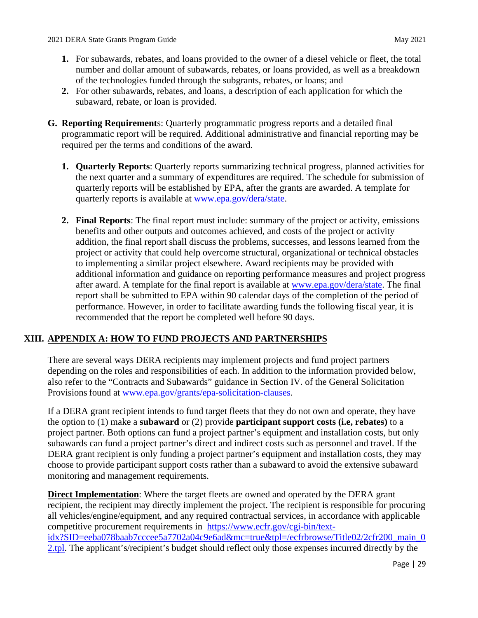- **1.** For subawards, rebates, and loans provided to the owner of a diesel vehicle or fleet, the total number and dollar amount of subawards, rebates, or loans provided, as well as a breakdown of the technologies funded through the subgrants, rebates, or loans; and
- **2.** For other subawards, rebates, and loans, a description of each application for which the subaward, rebate, or loan is provided.
- <span id="page-32-0"></span> required per the terms and conditions of the award. **G. Reporting Requirement**s: Quarterly programmatic progress reports and a detailed final programmatic report will be required. Additional administrative and financial reporting may be
	- **1. Quarterly Reports**: Quarterly reports summarizing technical progress, planned activities for the next quarter and a summary of expenditures are required. The schedule for submission of quarterly reports will be established by EPA, after the grants are awarded. A template for quarterly reports is available at [www.epa.gov/dera/state.](http://www.epa.gov/dera/state)
	- report shall be submitted to EPA within 90 calendar days of the completion of the period of **2. Final Reports**: The final report must include: summary of the project or activity, emissions benefits and other outputs and outcomes achieved, and costs of the project or activity addition, the final report shall discuss the problems, successes, and lessons learned from the project or activity that could help overcome structural, organizational or technical obstacles to implementing a similar project elsewhere. Award recipients may be provided with additional information and guidance on reporting performance measures and project progress after award. A template for the final report is available at [www.epa.gov/dera/state.](http://www.epa.gov/dera/state) The final performance. However, in order to facilitate awarding funds the following fiscal year, it is recommended that the report be completed well before 90 days.

# **XIII. APPENDIX A: HOW TO FUND PROJECTS AND PARTNERSHIPS**

There are several ways DERA recipients may implement projects and fund project partners depending on the roles and responsibilities of each. In addition to the information provided below, also refer to the "Contracts and Subawards" guidance in Section IV. of the General Solicitation Provisions found at [www.epa.gov/grants/epa-solicitation-clauses.](http://www.epa.gov/grants/epa-solicitation-clauses)

 If a DERA grant recipient intends to fund target fleets that they do not own and operate, they have the option to (1) make a **subaward** or (2) provide **participant support costs (i.e, rebates)** to a choose to provide participant support costs rather than a subaward to avoid the extensive subaward project partner. Both options can fund a project partner's equipment and installation costs, but only subawards can fund a project partner's direct and indirect costs such as personnel and travel. If the DERA grant recipient is only funding a project partner's equipment and installation costs, they may monitoring and management requirements.

 all vehicles/engine/equipment, and any required contractual services, in accordance with applicable **Direct Implementation**: Where the target fleets are owned and operated by the DERA grant recipient, the recipient may directly implement the project. The recipient is responsible for procuring competitive procurement requirements in [https://www.ecfr.gov/cgi-bin/text](https://www.ecfr.gov/cgi-bin/text-idx?SID=eeba078baab7cccee5a7702a04c9e6ad&mc=true&tpl=/ecfrbrowse/Title02/2cfr200_main_02.tpl)idx?SID=eeba078baab7cccee5a7702a04c9e6ad&mc=true&tpl=/ecfrbrowse/Title02/2cfr200\_main\_0 [2.tpl.](https://www.ecfr.gov/cgi-bin/text-idx?SID=eeba078baab7cccee5a7702a04c9e6ad&mc=true&tpl=/ecfrbrowse/Title02/2cfr200_main_02.tpl) The applicant's/recipient's budget should reflect only those expenses incurred directly by the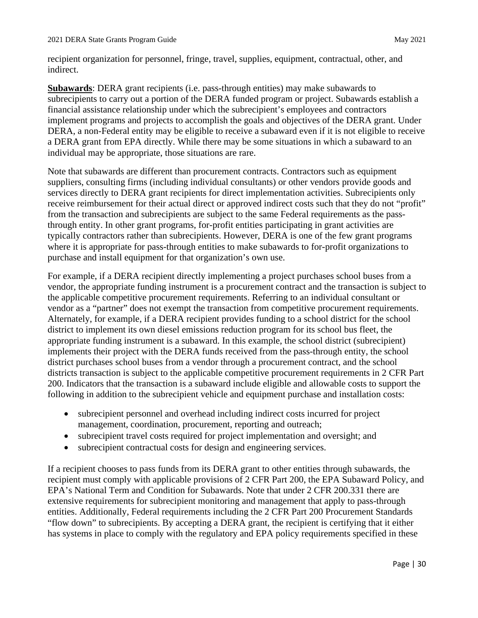recipient organization for personnel, fringe, travel, supplies, equipment, contractual, other, and indirect.

 DERA, a non-Federal entity may be eligible to receive a subaward even if it is not eligible to receive individual may be appropriate, those situations are rare. **Subawards**: DERA grant recipients (i.e. pass-through entities) may make subawards to subrecipients to carry out a portion of the DERA funded program or project. Subawards establish a financial assistance relationship under which the subrecipient's employees and contractors implement programs and projects to accomplish the goals and objectives of the DERA grant. Under a DERA grant from EPA directly. While there may be some situations in which a subaward to an

 suppliers, consulting firms (including individual consultants) or other vendors provide goods and where it is appropriate for pass-through entities to make subawards to for-profit organizations to Note that subawards are different than procurement contracts. Contractors such as equipment services directly to DERA grant recipients for direct implementation activities. Subrecipients only receive reimbursement for their actual direct or approved indirect costs such that they do not "profit" from the transaction and subrecipients are subject to the same Federal requirements as the passthrough entity. In other grant programs, for-profit entities participating in grant activities are typically contractors rather than subrecipients. However, DERA is one of the few grant programs purchase and install equipment for that organization's own use.

 vendor, the appropriate funding instrument is a procurement contract and the transaction is subject to vendor as a "partner" does not exempt the transaction from competitive procurement requirements. Alternately, for example, if a DERA recipient provides funding to a school district for the school appropriate funding instrument is a subaward. In this example, the school district (subrecipient) district purchases school buses from a vendor through a procurement contract, and the school 200. Indicators that the transaction is a subaward include eligible and allowable costs to support the For example, if a DERA recipient directly implementing a project purchases school buses from a the applicable competitive procurement requirements. Referring to an individual consultant or district to implement its own diesel emissions reduction program for its school bus fleet, the implements their project with the DERA funds received from the pass-through entity, the school districts transaction is subject to the applicable competitive procurement requirements in 2 CFR Part following in addition to the subrecipient vehicle and equipment purchase and installation costs:

- • subrecipient personnel and overhead including indirect costs incurred for project management, coordination, procurement, reporting and outreach;
- subrecipient travel costs required for project implementation and oversight; and
- subrecipient contractual costs for design and engineering services.

 extensive requirements for subrecipient monitoring and management that apply to pass-through • subrecipient contractual costs for design and engineering services.<br>If a recipient chooses to pass funds from its DERA grant to other entities through subawards, the recipient must comply with applicable provisions of 2 CFR Part 200, the EPA Subaward Policy, and EPA's National Term and Condition for Subawards. Note that under 2 CFR 200.331 there are entities. Additionally, Federal requirements including the 2 CFR Part 200 Procurement Standards "flow down" to subrecipients. By accepting a DERA grant, the recipient is certifying that it either has systems in place to comply with the regulatory and EPA policy requirements specified in these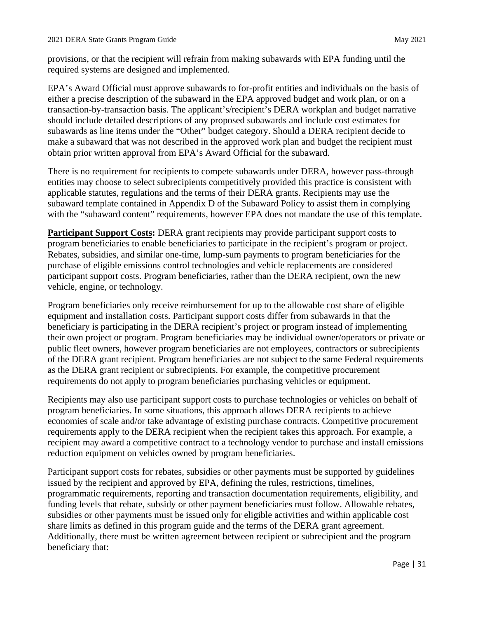provisions, or that the recipient will refrain from making subawards with EPA funding until the required systems are designed and implemented.

 EPA's Award Official must approve subawards to for-profit entities and individuals on the basis of subawards as line items under the "Other" budget category. Should a DERA recipient decide to either a precise description of the subaward in the EPA approved budget and work plan, or on a transaction-by-transaction basis. The applicant's/recipient's DERA workplan and budget narrative should include detailed descriptions of any proposed subawards and include cost estimates for make a subaward that was not described in the approved work plan and budget the recipient must obtain prior written approval from EPA's Award Official for the subaward.

 entities may choose to select subrecipients competitively provided this practice is consistent with There is no requirement for recipients to compete subawards under DERA, however pass-through applicable statutes, regulations and the terms of their DERA grants. Recipients may use the subaward template contained in Appendix D of the Subaward Policy to assist them in complying with the "subaward content" requirements, however EPA does not mandate the use of this template.

**Participant Support Costs:** DERA grant recipients may provide participant support costs to program beneficiaries to enable beneficiaries to participate in the recipient's program or project. Rebates, subsidies, and similar one-time, lump-sum payments to program beneficiaries for the purchase of eligible emissions control technologies and vehicle replacements are considered participant support costs. Program beneficiaries, rather than the DERA recipient, own the new vehicle, engine, or technology.

 public fleet owners, however program beneficiaries are not employees, contractors or subrecipients Program beneficiaries only receive reimbursement for up to the allowable cost share of eligible equipment and installation costs. Participant support costs differ from subawards in that the beneficiary is participating in the DERA recipient's project or program instead of implementing their own project or program. Program beneficiaries may be individual owner/operators or private or of the DERA grant recipient. Program beneficiaries are not subject to the same Federal requirements as the DERA grant recipient or subrecipients. For example, the competitive procurement requirements do not apply to program beneficiaries purchasing vehicles or equipment.

 Recipients may also use participant support costs to purchase technologies or vehicles on behalf of reduction equipment on vehicles owned by program beneficiaries. program beneficiaries. In some situations, this approach allows DERA recipients to achieve economies of scale and/or take advantage of existing purchase contracts. Competitive procurement requirements apply to the DERA recipient when the recipient takes this approach. For example, a recipient may award a competitive contract to a technology vendor to purchase and install emissions

 programmatic requirements, reporting and transaction documentation requirements, eligibility, and Participant support costs for rebates, subsidies or other payments must be supported by guidelines issued by the recipient and approved by EPA, defining the rules, restrictions, timelines, funding levels that rebate, subsidy or other payment beneficiaries must follow. Allowable rebates, subsidies or other payments must be issued only for eligible activities and within applicable cost share limits as defined in this program guide and the terms of the DERA grant agreement. Additionally, there must be written agreement between recipient or subrecipient and the program beneficiary that: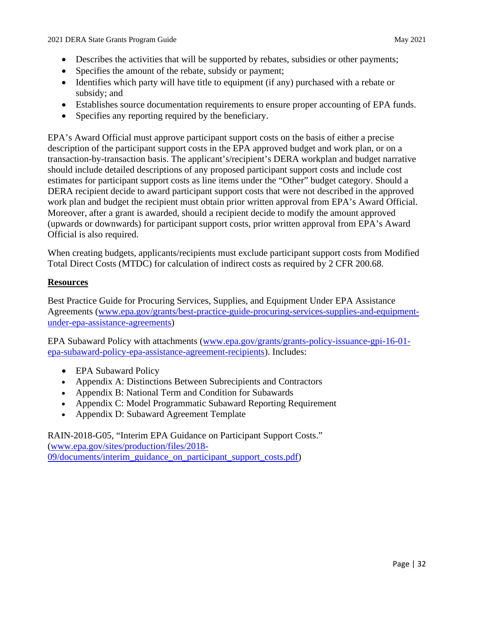- Describes the activities that will be supported by rebates, subsidies or other payments;
- Specifies the amount of the rebate, subsidy or payment;
- subsidy; and • Identifies which party will have title to equipment (if any) purchased with a rebate or
- Establishes source documentation requirements to ensure proper accounting of EPA funds.
- Specifies any reporting required by the beneficiary.

 • Specifies any reporting required by the beneficiary. EPA's Award Official must approve participant support costs on the basis of either a precise Moreover, after a grant is awarded, should a recipient decide to modify the amount approved (upwards or downwards) for participant support costs, prior written approval from EPA's Award description of the participant support costs in the EPA approved budget and work plan, or on a transaction-by-transaction basis. The applicant's/recipient's DERA workplan and budget narrative should include detailed descriptions of any proposed participant support costs and include cost estimates for participant support costs as line items under the "Other" budget category. Should a DERA recipient decide to award participant support costs that were not described in the approved work plan and budget the recipient must obtain prior written approval from EPA's Award Official. Official is also required.

 Total Direct Costs (MTDC) for calculation of indirect costs as required by 2 CFR 200.68. When creating budgets, applicants/recipients must exclude participant support costs from Modified

## **Resources**

[Best Practice Guide for Procuring Services, Supplies, and Equipment Under EPA Assistance](https://www.epa.gov/grants/best-practice-guide-procuring-services-supplies-and-equipment-under-epa-assistance-agreements)  [Agreements \(www.epa.gov/grants/best-practice-guide-procuring-services-supplies-and-equipment](https://www.epa.gov/grants/best-practice-guide-procuring-services-supplies-and-equipment-under-epa-assistance-agreements)[under-epa-assistance-agreements\)](https://www.epa.gov/grants/best-practice-guide-procuring-services-supplies-and-equipment-under-epa-assistance-agreements)

 [epa-subaward-policy-epa-assistance-agreement-recipients\)](https://www.epa.gov/grants/grants-policy-issuance-gpi-16-01-epa-subaward-policy-epa-assistance-agreement-recipients). Includes: EPA Subaward Policy with attachments [\(www.epa.gov/grants/grants-policy-issuance-gpi-16-01-](https://www.epa.gov/grants/grants-policy-issuance-gpi-16-01-epa-subaward-policy-epa-assistance-agreement-recipients)

- EPA Subaward Policy
- Appendix A: Distinctions Between Subrecipients and Contractors
- Appendix B: National Term and Condition for Subawards
- Appendix C: Model Programmatic Subaward Reporting Requirement
- Appendix D: Subaward Agreement Template

• Appendix D: Subaward Agreement Template RAIN-2018-G05, "Interim EPA Guidance on Participant Support Costs." [\(www.epa.gov/sites/production/files/2018-](https://www.epa.gov/sites/production/files/2018-09/documents/interim_guidance_on_participant_support_costs.pdf) [09/documents/interim\\_guidance\\_on\\_participant\\_support\\_costs.pdf\)](https://www.epa.gov/sites/production/files/2018-09/documents/interim_guidance_on_participant_support_costs.pdf)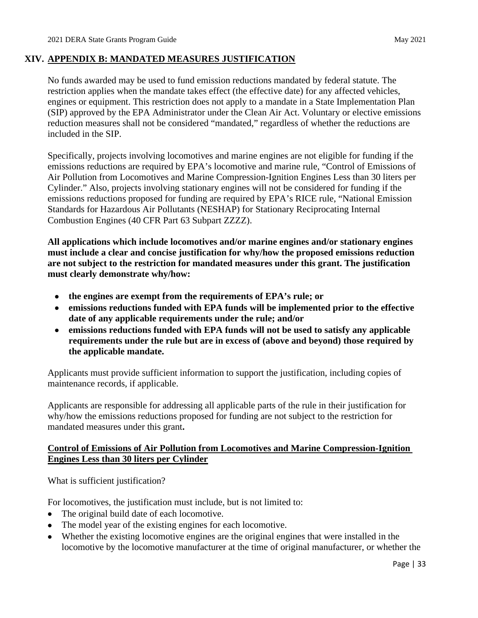## <span id="page-36-0"></span>**XIV. APPENDIX B: MANDATED MEASURES JUSTIFICATION**

 restriction applies when the mandate takes effect (the effective date) for any affected vehicles, No funds awarded may be used to fund emission reductions mandated by federal statute. The engines or equipment. This restriction does not apply to a mandate in a State Implementation Plan (SIP) approved by the EPA Administrator under the Clean Air Act. Voluntary or elective emissions reduction measures shall not be considered "mandated," regardless of whether the reductions are included in the SIP.

 emissions reductions are required by EPA's locomotive and marine rule, "Control of Emissions of Cylinder." Also, projects involving stationary engines will not be considered for funding if the emissions reductions proposed for funding are required by EPA's RICE rule, "National Emission Specifically, projects involving locomotives and marine engines are not eligible for funding if the Air Pollution from Locomotives and Marine Compression-Ignition Engines Less than 30 liters per Standards for Hazardous Air Pollutants (NESHAP) for Stationary Reciprocating Internal Combustion Engines (40 CFR Part 63 Subpart ZZZZ).

**All applications which include locomotives and/or marine engines and/or stationary engines must include a clear and concise justification for why/how the proposed emissions reduction are not subject to the restriction for mandated measures under this grant. The justification must clearly demonstrate why/how:** 

- **the engines are exempt from the requirements of EPA's rule; or**
- **emissions reductions funded with EPA funds will be implemented prior to the effective date of any applicable requirements under the rule; and/or**
- **emissions reductions funded with EPA funds will not be used to satisfy any applicable requirements under the rule but are in excess of (above and beyond) those required by the applicable mandate.**

Applicants must provide sufficient information to support the justification, including copies of maintenance records, if applicable.

 Applicants are responsible for addressing all applicable parts of the rule in their justification for why/how the emissions reductions proposed for funding are not subject to the restriction for mandated measures under this grant**.** 

# **Control of Emissions of Air Pollution from Locomotives and Marine Compression-Ignition Engines Less than 30 liters per Cylinder**

What is sufficient justification?

For locomotives, the justification must include, but is not limited to:

- The original build date of each locomotive.
- The model year of the existing engines for each locomotive.
- Whether the existing locomotive engines are the original engines that were installed in the locomotive by the locomotive manufacturer at the time of original manufacturer, or whether the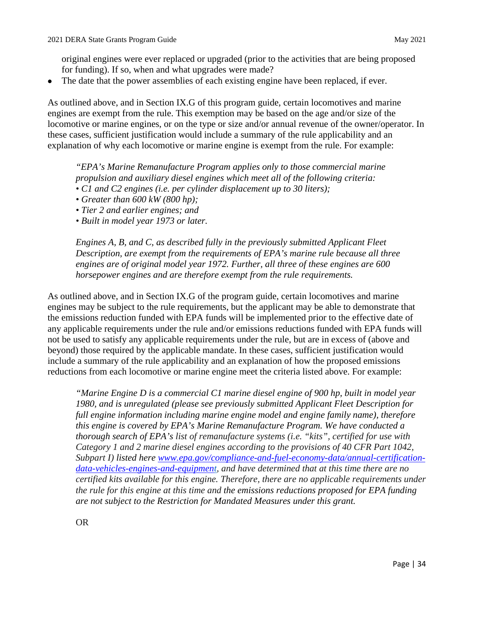original engines were ever replaced or upgraded (prior to the activities that are being proposed for funding). If so, when and what upgrades were made?

The date that the power assemblies of each existing engine have been replaced, if ever.

 engines are exempt from the rule. This exemption may be based on the age and/or size of the these cases, sufficient justification would include a summary of the rule applicability and an As outlined above, and in Section IX.G of this program guide, certain locomotives and marine locomotive or marine engines, or on the type or size and/or annual revenue of the owner/operator. In explanation of why each locomotive or marine engine is exempt from the rule. For example:

propulsion and auxiliary diesel engines which meet all of the following criteria:<br>• C1 and C2 engines (i.e. per cylinder displacement up to 30 liters);<br>• Greater than 600 kW (800 hp); *"EPA's Marine Remanufacture Program applies only to those commercial marine* 

- C1 and C2 engines (i.e. per cylinder displacement up to 30 liters);
- Greater than  $600 \, kW$  (800 hp);
- *Tier 2 and earlier engines; and*
- *Built in model year 1973 or later.*

 *Description, are exempt from the requirements of EPA's marine rule because all three engines are of original model year 1972. Further, all three of these engines are 600 Engines A, B, and C, as described fully in the previously submitted Applicant Fleet horsepower engines and are therefore exempt from the rule requirements.* 

 As outlined above, and in Section IX.G of the program guide, certain locomotives and marine any applicable requirements under the rule and/or emissions reductions funded with EPA funds will engines may be subject to the rule requirements, but the applicant may be able to demonstrate that the emissions reduction funded with EPA funds will be implemented prior to the effective date of not be used to satisfy any applicable requirements under the rule, but are in excess of (above and beyond) those required by the applicable mandate. In these cases, sufficient justification would include a summary of the rule applicability and an explanation of how the proposed emissions reductions from each locomotive or marine engine meet the criteria listed above. For example:

 *full engine information including marine engine model and engine family name), therefore "Marine Engine D is a commercial C1 marine diesel engine of 900 hp, built in model year 1980, and is unregulated (please see previously submitted Applicant Fleet Description for this engine is covered by EPA's Marine Remanufacture Program. We have conducted a thorough search of EPA's list of remanufacture systems (i.e. "kits", certified for use with Category 1 and 2 marine diesel engines according to the provisions of 40 CFR Part 1042, Subpart I) listed here [www.epa.gov/compliance-and-fuel-economy-data/annual-certification](https://www.epa.gov/compliance-and-fuel-economy-data/annual-certification-data-vehicles-engines-and-equipment)[data-vehicles-engines-and-equipment,](https://www.epa.gov/compliance-and-fuel-economy-data/annual-certification-data-vehicles-engines-and-equipment) and have determined that at this time there are no certified kits available for this engine. Therefore, there are no applicable requirements under the rule for this engine at this time and the emissions reductions proposed for EPA funding are not subject to the Restriction for Mandated Measures under this grant.*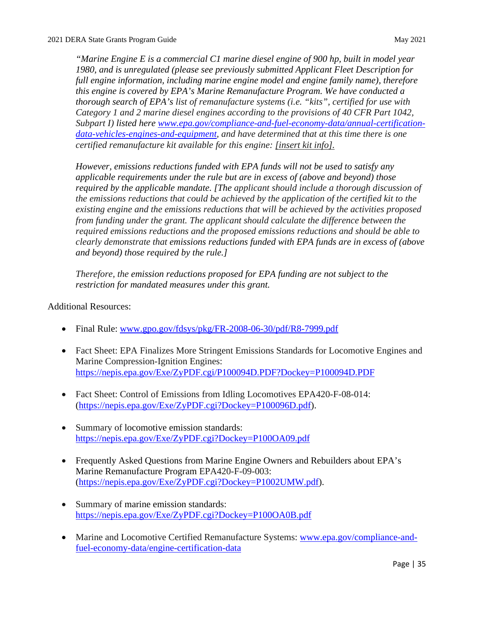*1980, and is unregulated (please see previously submitted Applicant Fleet Description for [data-vehicles-engines-and-equipment,](https://www.epa.gov/compliance-and-fuel-economy-data/annual-certification-data-vehicles-engines-and-equipment) and have determined that at this time there is one "Marine Engine E is a commercial C1 marine diesel engine of 900 hp, built in model year full engine information, including marine engine model and engine family name), therefore this engine is covered by EPA's Marine Remanufacture Program. We have conducted a thorough search of EPA's list of remanufacture systems (i.e. "kits", certified for use with Category 1 and 2 marine diesel engines according to the provisions of 40 CFR Part 1042, Subpart I) listed here [www.epa.gov/compliance-and-fuel-economy-data/annual-certification](https://www.epa.gov/compliance-and-fuel-economy-data/annual-certification-data-vehicles-engines-and-equipment)certified remanufacture kit available for this engine: [insert kit info].* 

 *required by the applicable mandate. [The applicant should include a thorough discussion of the emissions reductions that could be achieved by the application of the certified kit to the existing engine and the emissions reductions that will be achieved by the activities proposed However, emissions reductions funded with EPA funds will not be used to satisfy any applicable requirements under the rule but are in excess of (above and beyond) those from funding under the grant. The applicant should calculate the difference between the required emissions reductions and the proposed emissions reductions and should be able to clearly demonstrate that emissions reductions funded with EPA funds are in excess of (above and beyond) those required by the rule.]* 

 *Therefore, the emission reductions proposed for EPA funding are not subject to the restriction for mandated measures under this grant.* 

# Additional Resources:

- Final Rule: www.gpo.gov/fdsys/pkg/FR-2008-06-30/pdf/R8-7999.pdf
- Fact Sheet: EPA Finalizes More Stringent Emissions Standards for Locomotive Engines and Marine Compression-Ignition Engines: <https://nepis.epa.gov/Exe/ZyPDF.cgi/P100094D.PDF?Dockey=P100094D.PDF>
- Fact Sheet: Control of Emissions from Idling Locomotives EPA420-F-08-014: [\(https://nepis.epa.gov/Exe/ZyPDF.cgi?Dockey=P100096D.pdf\)](https://nepis.epa.gov/Exe/ZyPDF.cgi?Dockey=P100096D.pdf).
- Summary of locomotive emission standards: <https://nepis.epa.gov/Exe/ZyPDF.cgi?Dockey=P100OA09.pdf>
- Frequently Asked Questions from Marine Engine Owners and Rebuilders about EPA's Marine Remanufacture Program EPA420-F-09-003: [\(https://nepis.epa.gov/Exe/ZyPDF.cgi?Dockey=P1002UMW.pdf\)](https://nepis.epa.gov/Exe/ZyPDF.cgi?Dockey=P1002UMW.pdf).
- Summary of marine emission standards: <https://nepis.epa.gov/Exe/ZyPDF.cgi?Dockey=P100OA0B.pdf>
- Marine and Locomotive Certified Remanufacture Systems: [www.epa.gov/compliance-and](http://www.epa.gov/compliance-and-fuel-economy-data/engine-certification-data)[fuel-economy-data/engine-certification-data](http://www.epa.gov/compliance-and-fuel-economy-data/engine-certification-data)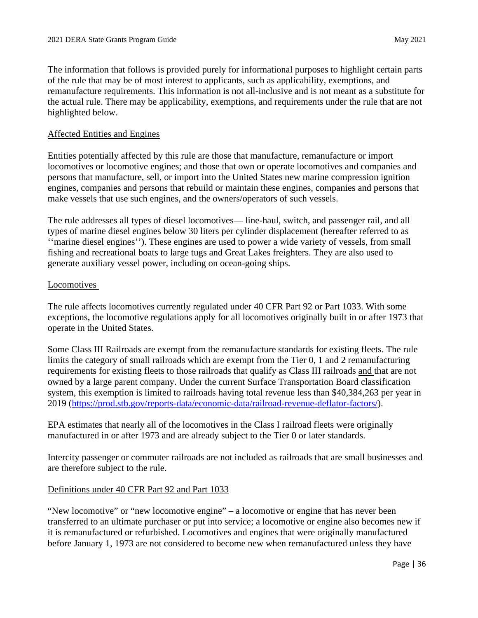The information that follows is provided purely for informational purposes to highlight certain parts of the rule that may be of most interest to applicants, such as applicability, exemptions, and remanufacture requirements. This information is not all-inclusive and is not meant as a substitute for the actual rule. There may be applicability, exemptions, and requirements under the rule that are not highlighted below.

#### Affected Entities and Engines

Entities potentially affected by this rule are those that manufacture, remanufacture or import locomotives or locomotive engines; and those that own or operate locomotives and companies and persons that manufacture, sell, or import into the United States new marine compression ignition engines, companies and persons that rebuild or maintain these engines, companies and persons that make vessels that use such engines, and the owners/operators of such vessels.

The rule addresses all types of diesel locomotives— line-haul, switch, and passenger rail, and all types of marine diesel engines below 30 liters per cylinder displacement (hereafter referred to as ''marine diesel engines''). These engines are used to power a wide variety of vessels, from small fishing and recreational boats to large tugs and Great Lakes freighters. They are also used to generate auxiliary vessel power, including on ocean-going ships.

#### Locomotives

The rule affects locomotives currently regulated under 40 CFR Part 92 or Part 1033. With some exceptions, the locomotive regulations apply for all locomotives originally built in or after 1973 that operate in the United States.

Some Class III Railroads are exempt from the remanufacture standards for existing fleets. The rule limits the category of small railroads which are exempt from the Tier 0, 1 and 2 remanufacturing requirements for existing fleets to those railroads that qualify as Class III railroads and that are not owned by a large parent company. Under the current Surface Transportation Board classification system, this exemption is limited to railroads having total revenue less than \$40,384,263 per year in 2019 [\(https://prod.stb.gov/reports-data/economic-data/railroad-revenue-deflator-factors/\)](https://prod.stb.gov/reports-data/economic-data/railroad-revenue-deflator-factors/).

EPA estimates that nearly all of the locomotives in the Class I railroad fleets were originally manufactured in or after 1973 and are already subject to the Tier 0 or later standards.

Intercity passenger or commuter railroads are not included as railroads that are small businesses and are therefore subject to the rule.

## Definitions under 40 CFR Part 92 and Part 1033

"New locomotive" or "new locomotive engine" – a locomotive or engine that has never been transferred to an ultimate purchaser or put into service; a locomotive or engine also becomes new if it is remanufactured or refurbished. Locomotives and engines that were originally manufactured before January 1, 1973 are not considered to become new when remanufactured unless they have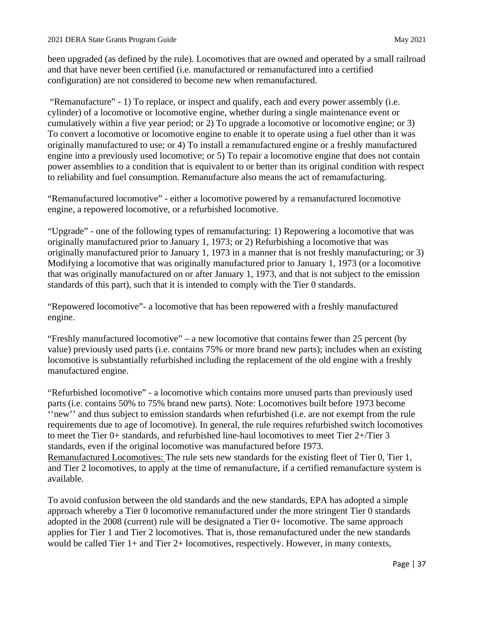been upgraded (as defined by the rule). Locomotives that are owned and operated by a small railroad and that have never been certified (i.e. manufactured or remanufactured into a certified configuration) are not considered to become new when remanufactured.

 cumulatively within a five year period; or 2) To upgrade a locomotive or locomotive engine; or 3) To convert a locomotive or locomotive engine to enable it to operate using a fuel other than it was power assemblies to a condition that is equivalent to or better than its original condition with respect "Remanufacture" - 1) To replace, or inspect and qualify, each and every power assembly (i.e. cylinder) of a locomotive or locomotive engine, whether during a single maintenance event or originally manufactured to use; or 4) To install a remanufactured engine or a freshly manufactured engine into a previously used locomotive; or 5) To repair a locomotive engine that does not contain to reliability and fuel consumption. Remanufacture also means the act of remanufacturing.

"Remanufactured locomotive" - either a locomotive powered by a remanufactured locomotive engine, a repowered locomotive, or a refurbished locomotive.

 "Upgrade" - one of the following types of remanufacturing: 1) Repowering a locomotive that was originally manufactured prior to January 1, 1973; or 2) Refurbishing a locomotive that was Modifying a locomotive that was originally manufactured prior to January 1, 1973 (or a locomotive that was originally manufactured on or after January 1, 1973, and that is not subject to the emission standards of this part), such that it is intended to comply with the Tier 0 standards. originally manufactured prior to January 1, 1973 in a manner that is not freshly manufacturing; or 3)

"Repowered locomotive"- a locomotive that has been repowered with a freshly manufactured engine.

"Freshly manufactured locomotive" – a new locomotive that contains fewer than 25 percent (by value) previously used parts (i.e. contains 75% or more brand new parts); includes when an existing locomotive is substantially refurbished including the replacement of the old engine with a freshly manufactured engine.

 "Refurbished locomotive" - a locomotive which contains more unused parts than previously used requirements due to age of locomotive). In general, the rule requires refurbished switch locomotives parts (i.e. contains 50% to 75% brand new parts). Note: Locomotives built before 1973 become ''new'' and thus subject to emission standards when refurbished (i.e. are not exempt from the rule to meet the Tier 0+ standards, and refurbished line-haul locomotives to meet Tier 2+/Tier 3 standards, even if the original locomotive was manufactured before 1973. Remanufactured Locomotives: The rule sets new standards for the existing fleet of Tier 0, Tier 1, and Tier 2 locomotives, to apply at the time of remanufacture, if a certified remanufacture system is available.

 approach whereby a Tier 0 locomotive remanufactured under the more stringent Tier 0 standards would be called Tier 1+ and Tier 2+ locomotives, respectively. However, in many contexts, To avoid confusion between the old standards and the new standards, EPA has adopted a simple adopted in the 2008 (current) rule will be designated a Tier 0+ locomotive. The same approach applies for Tier 1 and Tier 2 locomotives. That is, those remanufactured under the new standards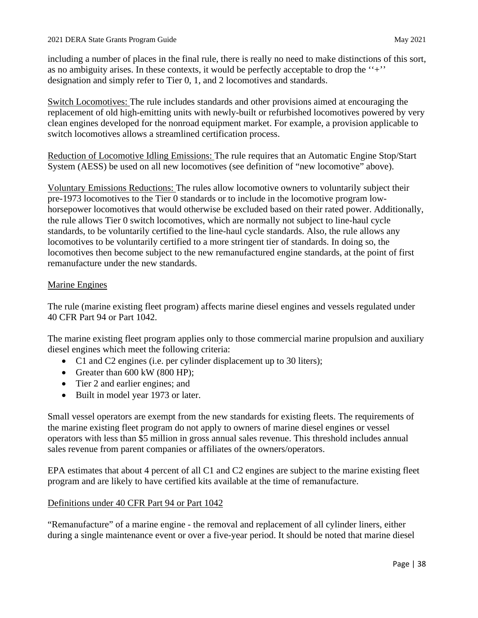including a number of places in the final rule, there is really no need to make distinctions of this sort, as no ambiguity arises. In these contexts, it would be perfectly acceptable to drop the ''+'' designation and simply refer to Tier 0, 1, and 2 locomotives and standards.

Switch Locomotives: The rule includes standards and other provisions aimed at encouraging the replacement of old high-emitting units with newly-built or refurbished locomotives powered by very clean engines developed for the nonroad equipment market. For example, a provision applicable to switch locomotives allows a streamlined certification process.

Reduction of Locomotive Idling Emissions: The rule requires that an Automatic Engine Stop/Start System (AESS) be used on all new locomotives (see definition of "new locomotive" above).

 Voluntary Emissions Reductions: The rules allow locomotive owners to voluntarily subject their pre-1973 locomotives to the Tier 0 standards or to include in the locomotive program low- locomotives then become subject to the new remanufactured engine standards, at the point of first horsepower locomotives that would otherwise be excluded based on their rated power. Additionally, the rule allows Tier 0 switch locomotives, which are normally not subject to line-haul cycle standards, to be voluntarily certified to the line-haul cycle standards. Also, the rule allows any locomotives to be voluntarily certified to a more stringent tier of standards. In doing so, the remanufacture under the new standards.

## Marine Engines

 The rule (marine existing fleet program) affects marine diesel engines and vessels regulated under 40 CFR Part 94 or Part 1042.

The marine existing fleet program applies only to those commercial marine propulsion and auxiliary diesel engines which meet the following criteria:

- C1 and C2 engines (i.e. per cylinder displacement up to 30 liters);
- Greater than 600 kW (800 HP);
- Tier 2 and earlier engines; and
- Built in model year 1973 or later.

 sales revenue from parent companies or affiliates of the owners/operators. Small vessel operators are exempt from the new standards for existing fleets. The requirements of the marine existing fleet program do not apply to owners of marine diesel engines or vessel operators with less than \$5 million in gross annual sales revenue. This threshold includes annual

 EPA estimates that about 4 percent of all C1 and C2 engines are subject to the marine existing fleet program and are likely to have certified kits available at the time of remanufacture.

## Definitions under 40 CFR Part 94 or Part 1042

"Remanufacture" of a marine engine - the removal and replacement of all cylinder liners, either during a single maintenance event or over a five-year period. It should be noted that marine diesel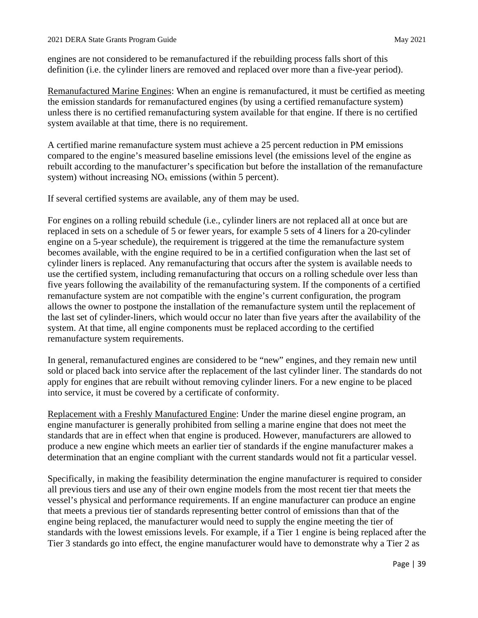engines are not considered to be remanufactured if the rebuilding process falls short of this definition (i.e. the cylinder liners are removed and replaced over more than a five-year period).

Remanufactured Marine Engines: When an engine is remanufactured, it must be certified as meeting the emission standards for remanufactured engines (by using a certified remanufacture system) unless there is no certified remanufacturing system available for that engine. If there is no certified system available at that time, there is no requirement.

 A certified marine remanufacture system must achieve a 25 percent reduction in PM emissions compared to the engine's measured baseline emissions level (the emissions level of the engine as rebuilt according to the manufacturer's specification but before the installation of the remanufacture system) without increasing  $NO<sub>x</sub>$  emissions (within 5 percent).

If several certified systems are available, any of them may be used.

 For engines on a rolling rebuild schedule (i.e., cylinder liners are not replaced all at once but are five years following the availability of the remanufacturing system. If the components of a certified the last set of cylinder-liners, which would occur no later than five years after the availability of the replaced in sets on a schedule of 5 or fewer years, for example 5 sets of 4 liners for a 20-cylinder engine on a 5-year schedule), the requirement is triggered at the time the remanufacture system becomes available, with the engine required to be in a certified configuration when the last set of cylinder liners is replaced. Any remanufacturing that occurs after the system is available needs to use the certified system, including remanufacturing that occurs on a rolling schedule over less than remanufacture system are not compatible with the engine's current configuration, the program allows the owner to postpone the installation of the remanufacture system until the replacement of system. At that time, all engine components must be replaced according to the certified remanufacture system requirements.

 apply for engines that are rebuilt without removing cylinder liners. For a new engine to be placed In general, remanufactured engines are considered to be "new" engines, and they remain new until sold or placed back into service after the replacement of the last cylinder liner. The standards do not into service, it must be covered by a certificate of conformity.

 engine manufacturer is generally prohibited from selling a marine engine that does not meet the standards that are in effect when that engine is produced. However, manufacturers are allowed to determination that an engine compliant with the current standards would not fit a particular vessel. Replacement with a Freshly Manufactured Engine: Under the marine diesel engine program, an produce a new engine which meets an earlier tier of standards if the engine manufacturer makes a

 that meets a previous tier of standards representing better control of emissions than that of the standards with the lowest emissions levels. For example, if a Tier 1 engine is being replaced after the Specifically, in making the feasibility determination the engine manufacturer is required to consider all previous tiers and use any of their own engine models from the most recent tier that meets the vessel's physical and performance requirements. If an engine manufacturer can produce an engine engine being replaced, the manufacturer would need to supply the engine meeting the tier of Tier 3 standards go into effect, the engine manufacturer would have to demonstrate why a Tier 2 as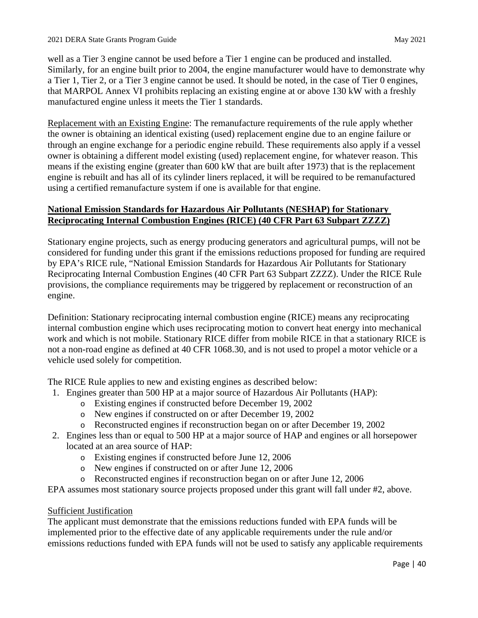manufactured engine unless it meets the Tier 1 standards. well as a Tier 3 engine cannot be used before a Tier 1 engine can be produced and installed. Similarly, for an engine built prior to 2004, the engine manufacturer would have to demonstrate why a Tier 1, Tier 2, or a Tier 3 engine cannot be used. It should be noted, in the case of Tier 0 engines, that MARPOL Annex VI prohibits replacing an existing engine at or above 130 kW with a freshly

 through an engine exchange for a periodic engine rebuild. These requirements also apply if a vessel owner is obtaining a different model existing (used) replacement engine, for whatever reason. This means if the existing engine (greater than 600 kW that are built after 1973) that is the replacement engine is rebuilt and has all of its cylinder liners replaced, it will be required to be remanufactured Replacement with an Existing Engine: The remanufacture requirements of the rule apply whether the owner is obtaining an identical existing (used) replacement engine due to an engine failure or using a certified remanufacture system if one is available for that engine.

## **National Emission Standards for Hazardous Air Pollutants (NESHAP) for Stationary Reciprocating Internal Combustion Engines (RICE) (40 CFR Part 63 Subpart ZZZZ)**

 Stationary engine projects, such as energy producing generators and agricultural pumps, will not be considered for funding under this grant if the emissions reductions proposed for funding are required by EPA's RICE rule, "National Emission Standards for Hazardous Air Pollutants for Stationary Reciprocating Internal Combustion Engines (40 CFR Part 63 Subpart ZZZZ). Under the RICE Rule provisions, the compliance requirements may be triggered by replacement or reconstruction of an engine.

Definition: Stationary reciprocating internal combustion engine (RICE) means any reciprocating internal combustion engine which uses reciprocating motion to convert heat energy into mechanical work and which is not mobile. Stationary RICE differ from mobile RICE in that a stationary RICE is not a non-road engine as defined at 40 CFR 1068.30, and is not used to propel a motor vehicle or a vehicle used solely for competition.

The RICE Rule applies to new and existing engines as described below:

- 1. Engines greater than 500 HP at a major source of Hazardous Air Pollutants (HAP):
	- o Existing engines if constructed before December 19, 2002
	- o New engines if constructed on or after December 19, 2002
	- o Reconstructed engines if reconstruction began on or after December 19, 2002
- 2. Engines less than or equal to 500 HP at a major source of HAP and engines or all horsepower located at an area source of HAP:
	- o Existing engines if constructed before June 12, 2006
	- o New engines if constructed on or after June 12, 2006
	- o Reconstructed engines if reconstruction began on or after June 12, 2006
- EPA assumes most stationary source projects proposed under this grant will fall under #2, above.

## Sufficient Justification

 implemented prior to the effective date of any applicable requirements under the rule and/or The applicant must demonstrate that the emissions reductions funded with EPA funds will be emissions reductions funded with EPA funds will not be used to satisfy any applicable requirements